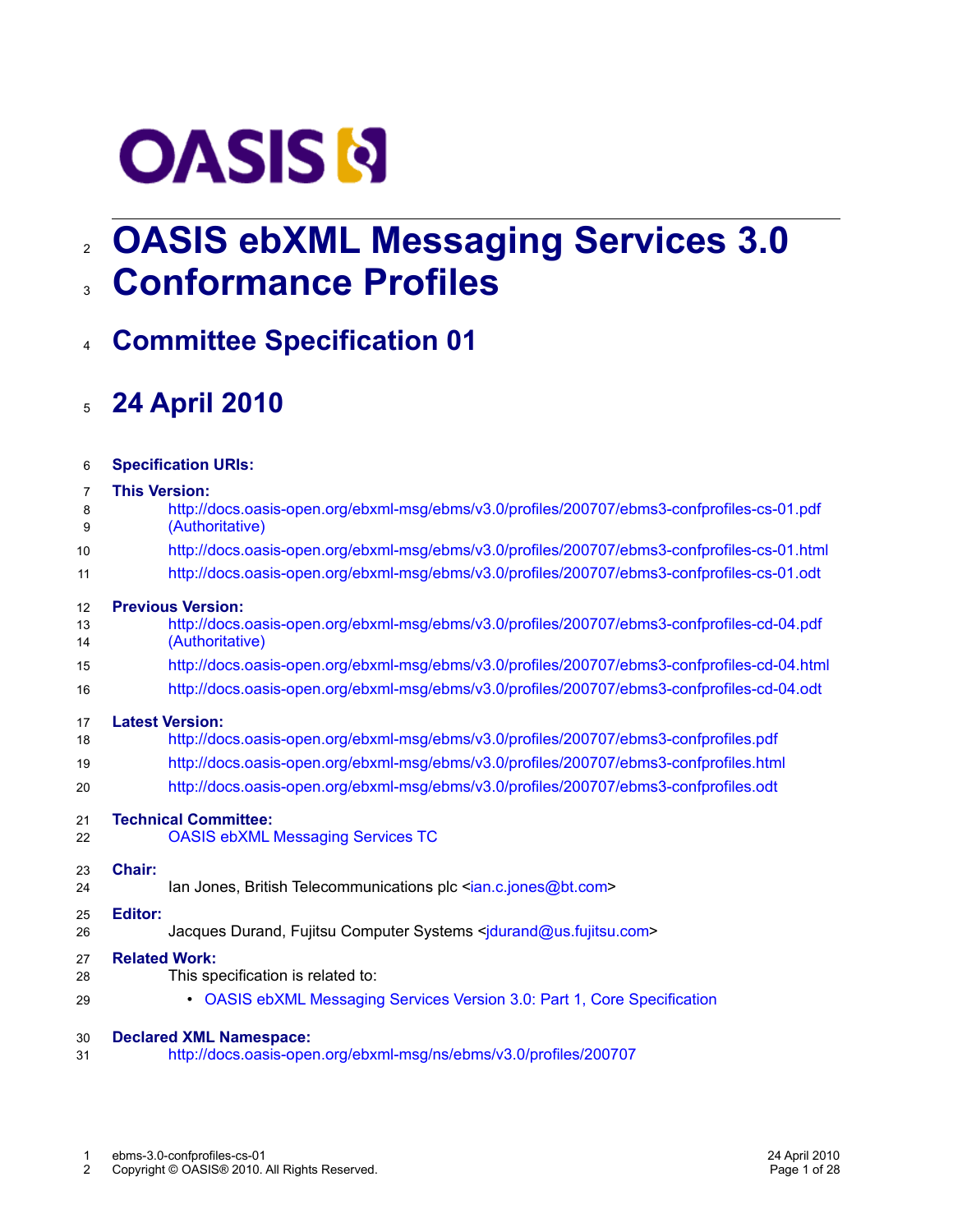# **OASIS N**

# **OASIS ebXML Messaging Services 3.0** 2 **Conformance Profiles** 3

# **Committee Specification 01** 4

# <span id="page-0-0"></span>**24 April 2010** 5

| 6  | <b>Specification URIs:</b>                                                                   |
|----|----------------------------------------------------------------------------------------------|
| 7  | <b>This Version:</b>                                                                         |
| 8  | http://docs.oasis-open.org/ebxml-msg/ebms/v3.0/profiles/200707/ebms3-confprofiles-cs-01.pdf  |
| 9  | (Authoritative)                                                                              |
| 10 | http://docs.oasis-open.org/ebxml-msg/ebms/v3.0/profiles/200707/ebms3-confprofiles-cs-01.html |
| 11 | http://docs.oasis-open.org/ebxml-msg/ebms/v3.0/profiles/200707/ebms3-confprofiles-cs-01.odt  |
| 12 | <b>Previous Version:</b>                                                                     |
| 13 | http://docs.oasis-open.org/ebxml-msg/ebms/v3.0/profiles/200707/ebms3-confprofiles-cd-04.pdf  |
| 14 | (Authoritative)                                                                              |
| 15 | http://docs.oasis-open.org/ebxml-msg/ebms/v3.0/profiles/200707/ebms3-confprofiles-cd-04.html |
| 16 | http://docs.oasis-open.org/ebxml-msg/ebms/v3.0/profiles/200707/ebms3-confprofiles-cd-04.odt  |
| 17 | <b>Latest Version:</b>                                                                       |
| 18 | http://docs.oasis-open.org/ebxml-msg/ebms/v3.0/profiles/200707/ebms3-confprofiles.pdf        |
| 19 | http://docs.oasis-open.org/ebxml-msg/ebms/v3.0/profiles/200707/ebms3-confprofiles.html       |
| 20 | http://docs.oasis-open.org/ebxml-msg/ebms/v3.0/profiles/200707/ebms3-confprofiles.odt        |
| 21 | <b>Technical Committee:</b>                                                                  |
| 22 | <b>OASIS ebXML Messaging Services TC</b>                                                     |
| 23 | Chair:                                                                                       |
| 24 | lan Jones, British Telecommunications plc <ian.c.jones@bt.com></ian.c.jones@bt.com>          |
| 25 | <b>Editor:</b>                                                                               |
| 26 | Jacques Durand, Fujitsu Computer Systems <jdurand@us.fujitsu.com></jdurand@us.fujitsu.com>   |
| 27 | <b>Related Work:</b>                                                                         |
| 28 | This specification is related to:                                                            |
| 29 | • OASIS ebXML Messaging Services Version 3.0: Part 1, Core Specification                     |
| 30 | <b>Declared XML Namespace:</b>                                                               |
| 31 | http://docs.oasis-open.org/ebxml-msg/ns/ebms/v3.0/profiles/200707                            |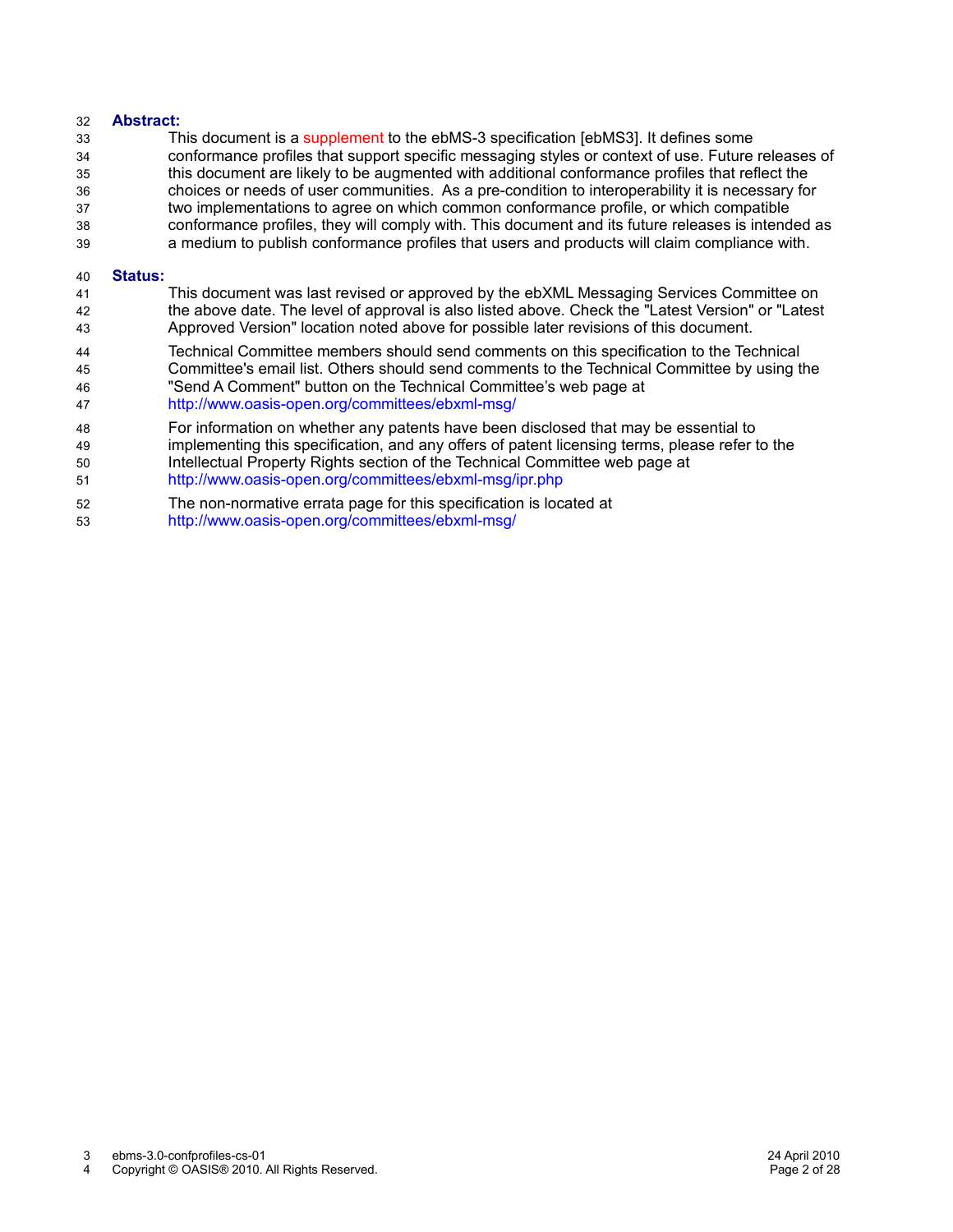#### **Abstract:** 32

This document is a supplement to the ebMS-3 specification [ebMS3]. It defines some conformance profiles that support specific messaging styles or context of use. Future releases of this document are likely to be augmented with additional conformance profiles that reflect the choices or needs of user communities. As a pre-condition to interoperability it is necessary for two implementations to agree on which common conformance profile, or which compatible conformance profiles, they will comply with. This document and its future releases is intended as a medium to publish conformance profiles that users and products will claim compliance with. 33 34 35 36 37 38 39

#### **Status:** 40

- This document was last revised or approved by the ebXML Messaging Services Committee on the above date. The level of approval is also listed above. Check the "Latest Version" or "Latest Approved Version" location noted above for possible later revisions of this document. 41 42 43
- Technical Committee members should send comments on this specification to the Technical Committee's email list. Others should send comments to the Technical Committee by using the "Send A Comment" button on the Technical Committee's web page at 44 45 46
- <http://www.oasis-open.org/committees/ebxml-msg/> 47
- For information on whether any patents have been disclosed that may be essential to 48
- implementing this specification, and any offers of patent licensing terms, please refer to the Intellectual Property Rights section of the Technical Committee web page at 49 50
- <http://www.oasis-open.org/committees/ebxml-msg/ipr.php> 51
- The non-normative errata page for this specification is located at 52
- <http://www.oasis-open.org/committees/ebxml-msg/> 53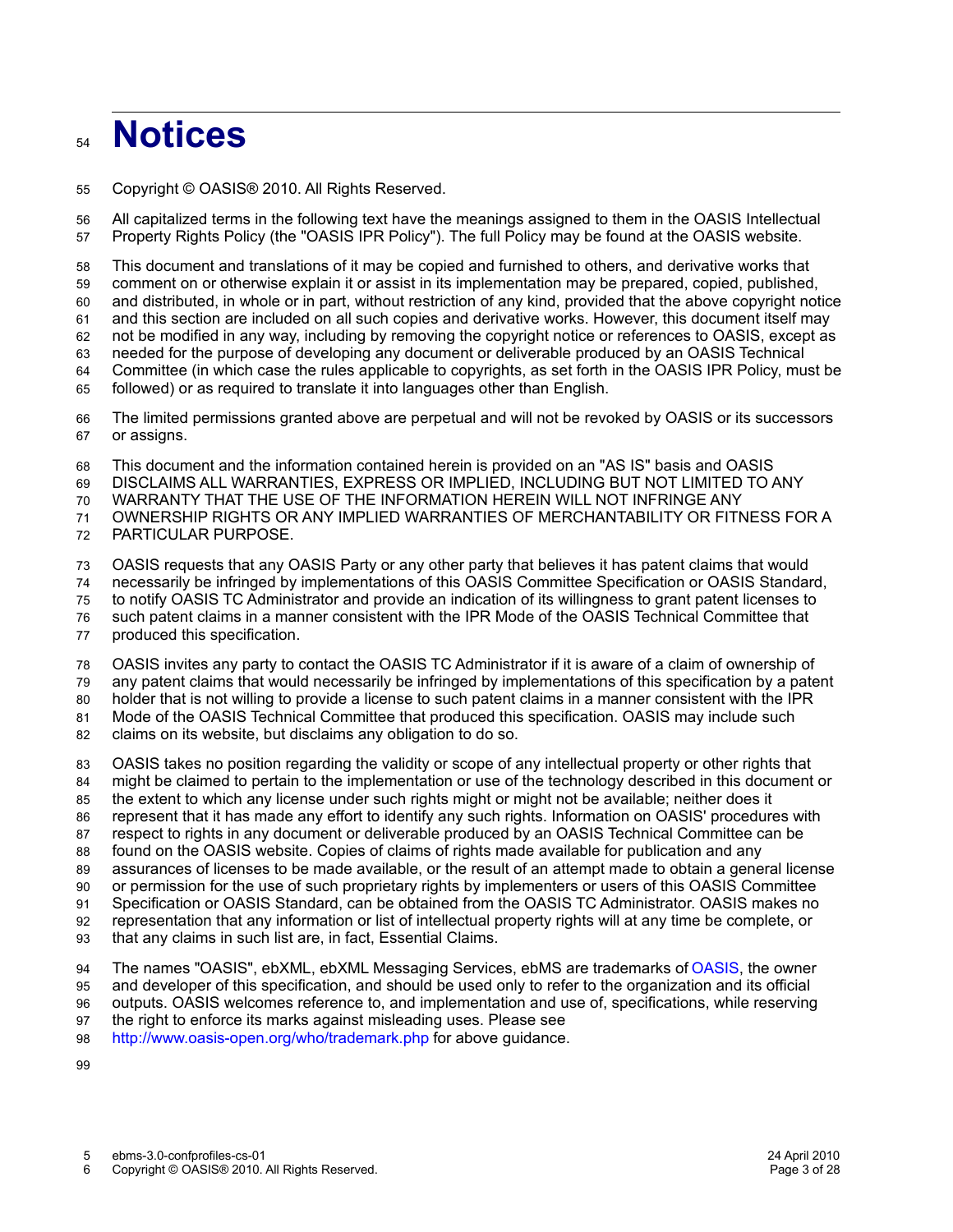# **Notices**  $54$

Copyright © OASIS® 2010. All Rights Reserved. 55

All capitalized terms in the following text have the meanings assigned to them in the OASIS Intellectual Property Rights Policy (the "OASIS IPR Policy"). The full Policy may be found at the OASIS website. 56 57

This document and translations of it may be copied and furnished to others, and derivative works that comment on or otherwise explain it or assist in its implementation may be prepared, copied, published, and distributed, in whole or in part, without restriction of any kind, provided that the above copyright notice and this section are included on all such copies and derivative works. However, this document itself may not be modified in any way, including by removing the copyright notice or references to OASIS, except as needed for the purpose of developing any document or deliverable produced by an OASIS Technical Committee (in which case the rules applicable to copyrights, as set forth in the OASIS IPR Policy, must be followed) or as required to translate it into languages other than English. 58 59 60 61 62 63 64 65

The limited permissions granted above are perpetual and will not be revoked by OASIS or its successors or assigns. 66 67

This document and the information contained herein is provided on an "AS IS" basis and OASIS 68

DISCLAIMS ALL WARRANTIES, EXPRESS OR IMPLIED, INCLUDING BUT NOT LIMITED TO ANY 69

WARRANTY THAT THE USE OF THE INFORMATION HEREIN WILL NOT INFRINGE ANY 70

OWNERSHIP RIGHTS OR ANY IMPLIED WARRANTIES OF MERCHANTABILITY OR FITNESS FOR A 71

PARTICULAR PURPOSE. 72

OASIS requests that any OASIS Party or any other party that believes it has patent claims that would 73

necessarily be infringed by implementations of this OASIS Committee Specification or OASIS Standard, 74

to notify OASIS TC Administrator and provide an indication of its willingness to grant patent licenses to 75

such patent claims in a manner consistent with the IPR Mode of the OASIS Technical Committee that 76

produced this specification. 77

OASIS invites any party to contact the OASIS TC Administrator if it is aware of a claim of ownership of 78

any patent claims that would necessarily be infringed by implementations of this specification by a patent 79

holder that is not willing to provide a license to such patent claims in a manner consistent with the IPR  $80$ 

Mode of the OASIS Technical Committee that produced this specification. OASIS may include such 81

claims on its website, but disclaims any obligation to do so. 82

OASIS takes no position regarding the validity or scope of any intellectual property or other rights that 83

might be claimed to pertain to the implementation or use of the technology described in this document or 84

the extent to which any license under such rights might or might not be available; neither does it represent that it has made any effort to identify any such rights. Information on OASIS' procedures with 85

respect to rights in any document or deliverable produced by an OASIS Technical Committee can be 86 87

found on the OASIS website. Copies of claims of rights made available for publication and any 88

assurances of licenses to be made available, or the result of an attempt made to obtain a general license 89

or permission for the use of such proprietary rights by implementers or users of this OASIS Committee 90

Specification or OASIS Standard, can be obtained from the OASIS TC Administrator. OASIS makes no 91

representation that any information or list of intellectual property rights will at any time be complete, or 92

that any claims in such list are, in fact, Essential Claims. 93

The names "OASIS", ebXML, ebXML Messaging Services, ebMS are trademarks of [OASIS,](http://www.oasis-open.org/) the owner 94

and developer of this specification, and should be used only to refer to the organization and its official outputs. OASIS welcomes reference to, and implementation and use of, specifications, while reserving 95 96

the right to enforce its marks against misleading uses. Please see 97

<http://www.oasis-open.org/who/trademark.php>for above guidance. 98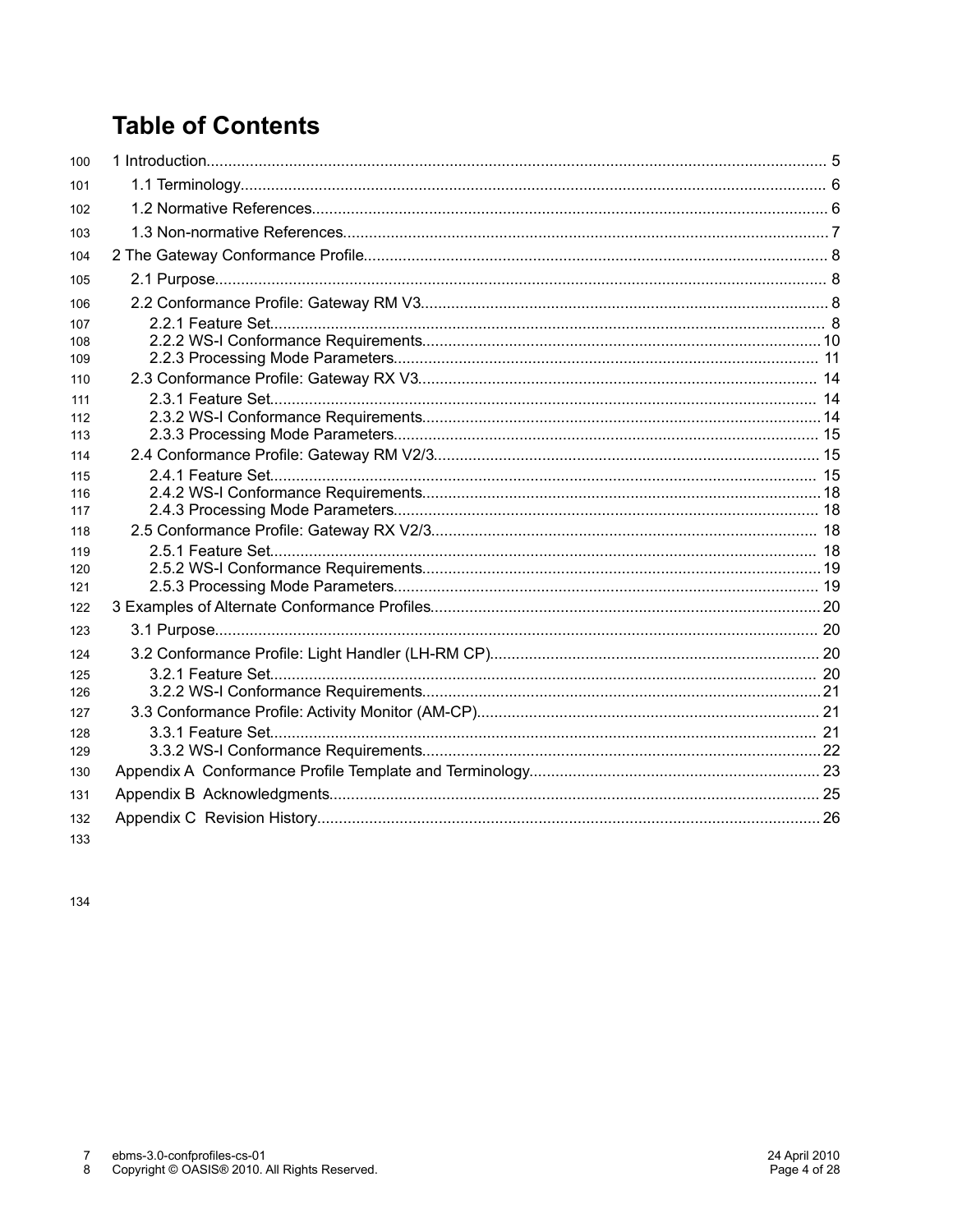# **Table of Contents**

| 100 |  |
|-----|--|
| 101 |  |
| 102 |  |
| 103 |  |
| 104 |  |
| 105 |  |
| 106 |  |
| 107 |  |
| 108 |  |
| 109 |  |
| 110 |  |
| 111 |  |
| 112 |  |
| 113 |  |
| 114 |  |
| 115 |  |
| 116 |  |
| 117 |  |
| 118 |  |
| 119 |  |
| 120 |  |
| 121 |  |
| 122 |  |
| 123 |  |
| 124 |  |
| 125 |  |
| 126 |  |
| 127 |  |
| 128 |  |
| 129 |  |
| 130 |  |
| 131 |  |
| 132 |  |
|     |  |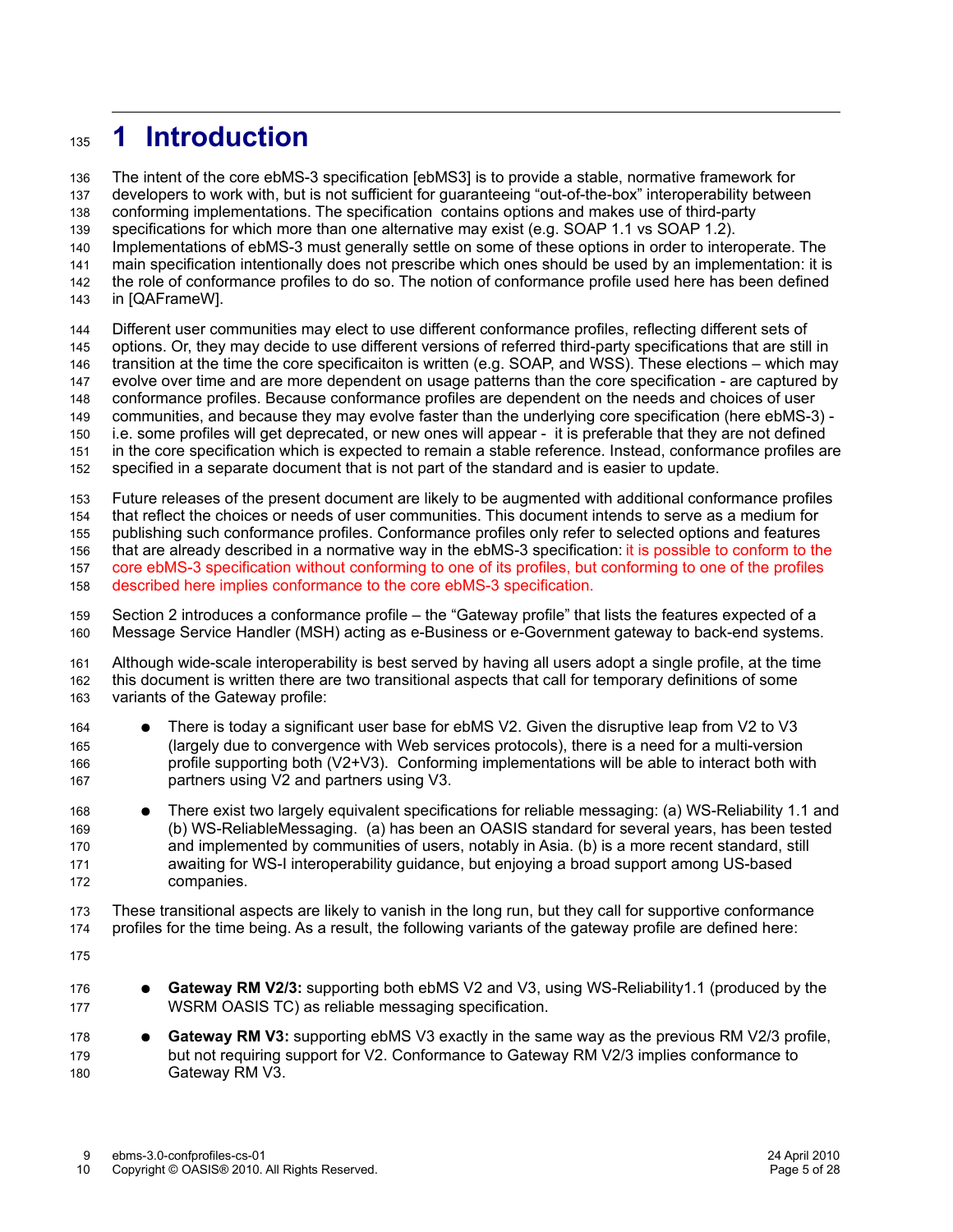## **1 Introduction** 135

The intent of the core ebMS-3 specification [ebMS3] is to provide a stable, normative framework for developers to work with, but is not sufficient for guaranteeing "out-of-the-box" interoperability between conforming implementations. The specification contains options and makes use of third-party specifications for which more than one alternative may exist (e.g. SOAP 1.1 vs SOAP 1.2). Implementations of ebMS-3 must generally settle on some of these options in order to interoperate. The main specification intentionally does not prescribe which ones should be used by an implementation: it is the role of conformance profiles to do so. The notion of conformance profile used here has been defined in [QAFrameW]. 136 137 138 139 140 141 142 143

Different user communities may elect to use different conformance profiles, reflecting different sets of options. Or, they may decide to use different versions of referred third-party specifications that are still in transition at the time the core specificaiton is written (e.g. SOAP, and WSS). These elections – which may evolve over time and are more dependent on usage patterns than the core specification - are captured by conformance profiles. Because conformance profiles are dependent on the needs and choices of user communities, and because they may evolve faster than the underlying core specification (here ebMS-3) i.e. some profiles will get deprecated, or new ones will appear - it is preferable that they are not defined in the core specification which is expected to remain a stable reference. Instead, conformance profiles are specified in a separate document that is not part of the standard and is easier to update.

Future releases of the present document are likely to be augmented with additional conformance profiles 153

that reflect the choices or needs of user communities. This document intends to serve as a medium for 154

publishing such conformance profiles. Conformance profiles only refer to selected options and features 155

that are already described in a normative way in the ebMS-3 specification: it is possible to conform to the core ebMS-3 specification without conforming to one of its profiles, but conforming to one of the profiles 156 157

described here implies conformance to the core ebMS-3 specification. 158

Section 2 introduces a conformance profile – the "Gateway profile" that lists the features expected of a Message Service Handler (MSH) acting as e-Business or e-Government gateway to back-end systems. 159 160

Although wide-scale interoperability is best served by having all users adopt a single profile, at the time this document is written there are two transitional aspects that call for temporary definitions of some variants of the Gateway profile: 161 162 163

- There is today a significant user base for ebMS V2. Given the disruptive leap from V2 to V3 (largely due to convergence with Web services protocols), there is a need for a multi-version profile supporting both (V2+V3). Conforming implementations will be able to interact both with partners using V2 and partners using V3. 164 165 166 167
- There exist two largely equivalent specifications for reliable messaging: (a) WS-Reliability 1.1 and (b) WS-ReliableMessaging. (a) has been an OASIS standard for several years, has been tested and implemented by communities of users, notably in Asia. (b) is a more recent standard, still awaiting for WS-I interoperability guidance, but enjoying a broad support among US-based companies. 168 169 170 171 172

These transitional aspects are likely to vanish in the long run, but they call for supportive conformance profiles for the time being. As a result, the following variants of the gateway profile are defined here: 173 174

175

- **Gateway RM V2/3:** supporting both ebMS V2 and V3, using WS-Reliability1.1 (produced by the WSRM OASIS TC) as reliable messaging specification. 176 177
- **Gateway RM V3:** supporting ebMS V3 exactly in the same way as the previous RM V2/3 profile, but not requiring support for V2. Conformance to Gateway RM V2/3 implies conformance to Gateway RM V3. 178 179 180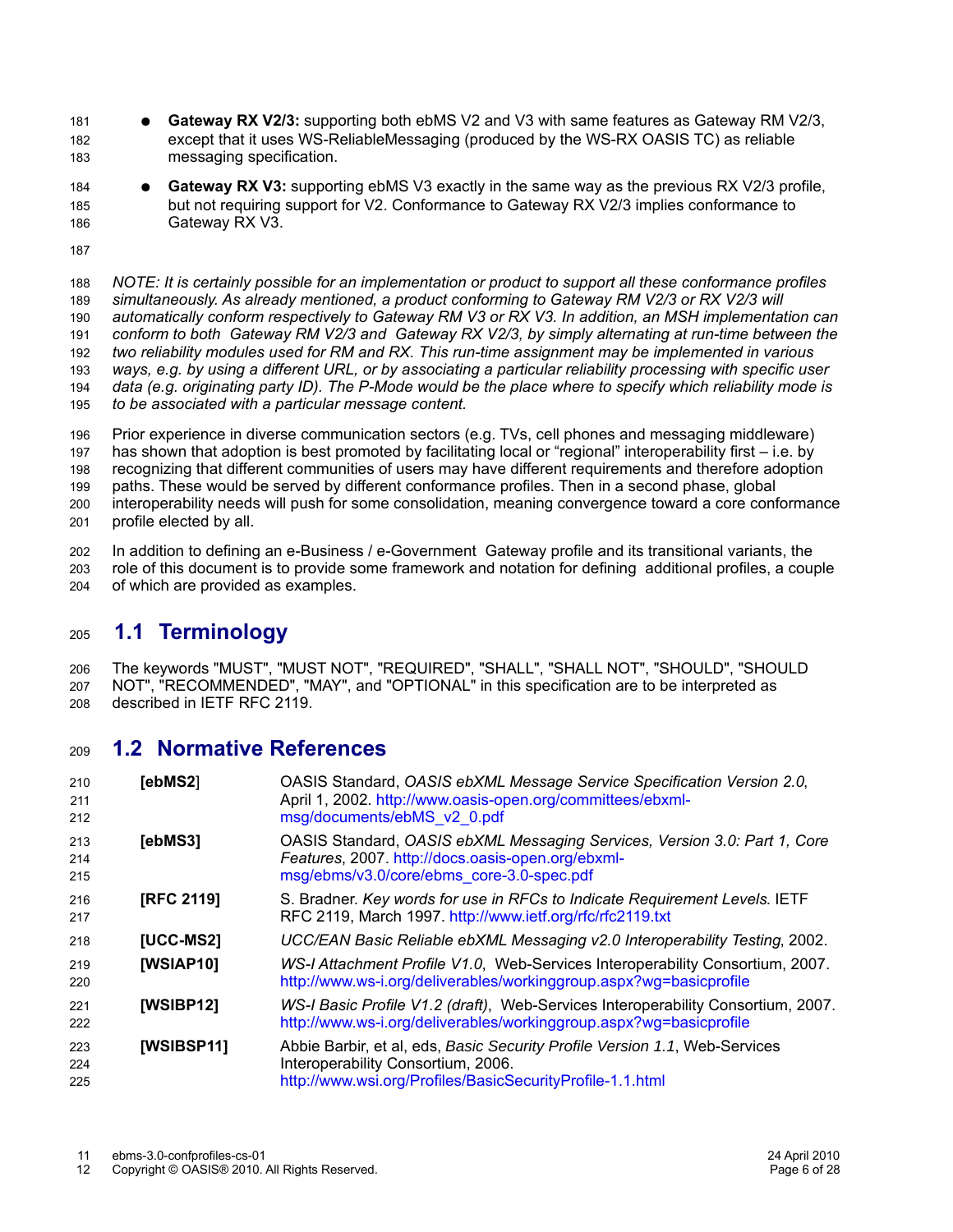- **Gateway RX V2/3:** supporting both ebMS V2 and V3 with same features as Gateway RM V2/3, except that it uses WS-ReliableMessaging (produced by the WS-RX OASIS TC) as reliable messaging specification. 181 182 183
- **Gateway RX V3:** supporting ebMS V3 exactly in the same way as the previous RX V2/3 profile, but not requiring support for V2. Conformance to Gateway RX V2/3 implies conformance to Gateway RX V3. 184 185 186
- 187

*NOTE: It is certainly possible for an implementation or product to support all these conformance profiles simultaneously. As already mentioned, a product conforming to Gateway RM V2/3 or RX V2/3 will automatically conform respectively to Gateway RM V3 or RX V3. In addition, an MSH implementation can conform to both Gateway RM V2/3 and Gateway RX V2/3, by simply alternating at run-time between the two reliability modules used for RM and RX. This run-time assignment may be implemented in various ways, e.g. by using a different URL, or by associating a particular reliability processing with specific user data (e.g. originating party ID). The P-Mode would be the place where to specify which reliability mode is to be associated with a particular message content.* 188 189 190 191 192 193 194 195

Prior experience in diverse communication sectors (e.g. TVs, cell phones and messaging middleware) has shown that adoption is best promoted by facilitating local or "regional" interoperability first – i.e. by recognizing that different communities of users may have different requirements and therefore adoption paths. These would be served by different conformance profiles. Then in a second phase, global interoperability needs will push for some consolidation, meaning convergence toward a core conformance profile elected by all. 196 197 198 199 200 201

In addition to defining an e-Business / e-Government Gateway profile and its transitional variants, the role of this document is to provide some framework and notation for defining additional profiles, a couple of which are provided as examples. 202 203 204

#### **1.1 Terminology** 205

The keywords "MUST", "MUST NOT", "REQUIRED", "SHALL", "SHALL NOT", "SHOULD", "SHOULD NOT", "RECOMMENDED", "MAY", and "OPTIONAL" in this specification are to be interpreted as described in IETF RFC 2119. 206 207 208

#### **1.2 Normative References**  $209$

| 210<br>211<br>212 | [ebMS2]           | OASIS Standard, OASIS ebXML Message Service Specification Version 2.0,<br>April 1, 2002. http://www.oasis-open.org/committees/ebxml-<br>msg/documents/ebMS v2 0.pdf           |
|-------------------|-------------------|-------------------------------------------------------------------------------------------------------------------------------------------------------------------------------|
| 213<br>214<br>215 | [ebMS3]           | OASIS Standard, OASIS ebXML Messaging Services, Version 3.0: Part 1, Core<br>Features, 2007. http://docs.oasis-open.org/ebxml-<br>msg/ebms/v3.0/core/ebms_core-3.0-spec.pdf   |
| 216<br>217        | <b>[RFC 2119]</b> | S. Bradner. Key words for use in RFCs to Indicate Requirement Levels. IETF<br>RFC 2119, March 1997. http://www.ietf.org/rfc/rfc2119.txt                                       |
| 218               | [UCC-MS2]         | UCC/EAN Basic Reliable ebXML Messaging v2.0 Interoperability Testing, 2002.                                                                                                   |
| 219<br>220        | [WSIAP10]         | WS-I Attachment Profile V1.0, Web-Services Interoperability Consortium, 2007.<br>http://www.ws-i.org/deliverables/workinggroup.aspx?wg=basicprofile                           |
| 221<br>222        | [WSIBP12]         | WS-I Basic Profile V1.2 (draft), Web-Services Interoperability Consortium, 2007.<br>http://www.ws-i.org/deliverables/workinggroup.aspx?wg=basicprofile                        |
| 223<br>224<br>225 | [WSIBSP11]        | Abbie Barbir, et al, eds, Basic Security Profile Version 1.1, Web-Services<br>Interoperability Consortium, 2006.<br>http://www.wsi.org/Profiles/BasicSecurityProfile-1.1.html |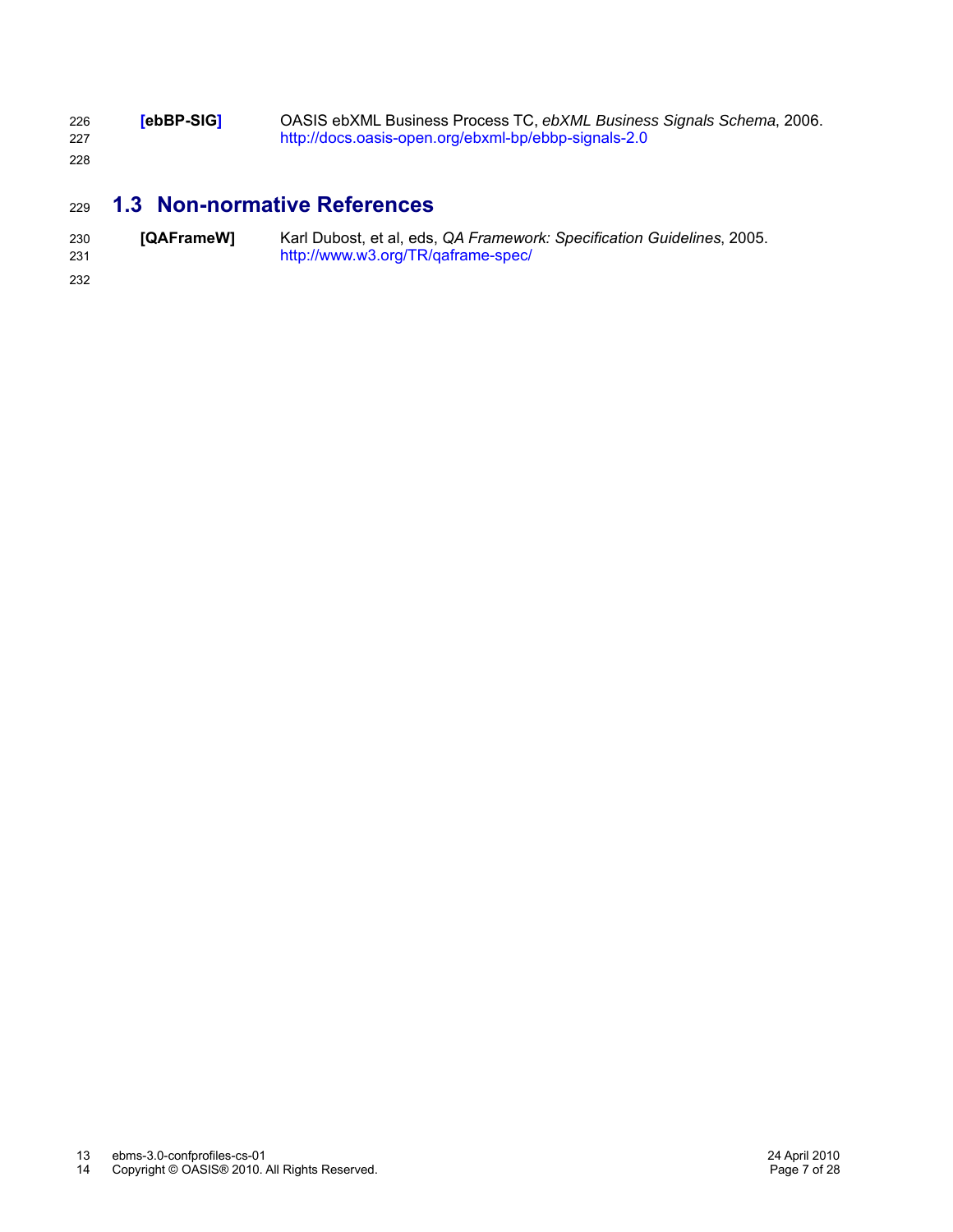| 226<br>227 | <b>rebBP-SIG1</b> | OASIS ebXML Business Process TC, ebXML Business Signals Schema, 2006.<br>http://docs.oasis-open.org/ebxml-bp/ebbp-signals-2.0 |
|------------|-------------------|-------------------------------------------------------------------------------------------------------------------------------|
| 228        |                   |                                                                                                                               |

#### **1.3 Non-normative References** 229

| 230 | [QAFrameW] | Karl Dubost, et al, eds, QA Framework: Specification Guidelines, 2005. |
|-----|------------|------------------------------------------------------------------------|
| 231 |            | http://www.w3.org/TR/qaframe-spec/                                     |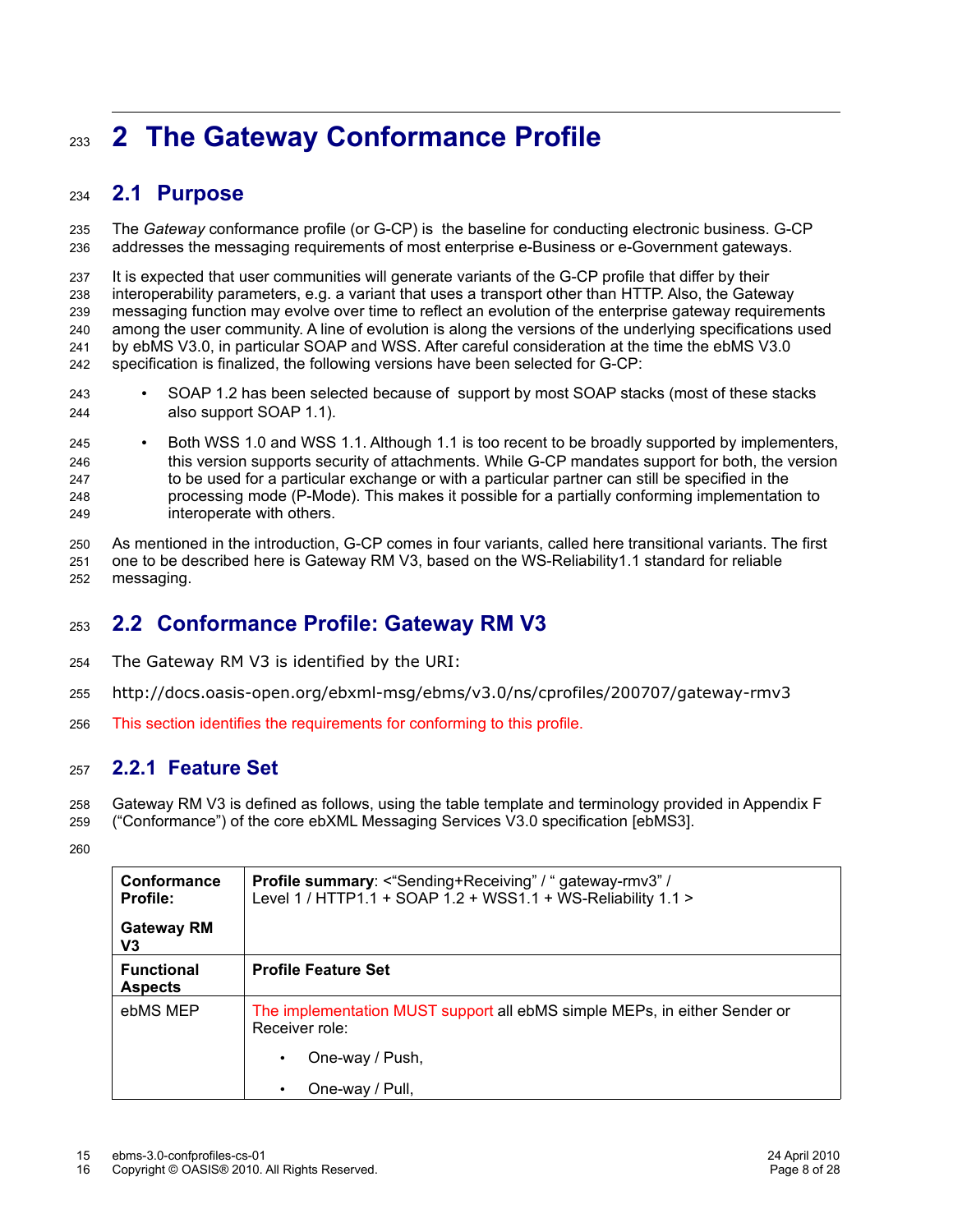# **2 The Gateway Conformance Profile** 233

#### **2.1 Purpose** 234

The *Gateway* conformance profile (or G-CP) is the baseline for conducting electronic business. G-CP addresses the messaging requirements of most enterprise e-Business or e-Government gateways. 235 236

It is expected that user communities will generate variants of the G-CP profile that differ by their interoperability parameters, e.g. a variant that uses a transport other than HTTP. Also, the Gateway messaging function may evolve over time to reflect an evolution of the enterprise gateway requirements among the user community. A line of evolution is along the versions of the underlying specifications used by ebMS V3.0, in particular SOAP and WSS. After careful consideration at the time the ebMS V3.0 specification is finalized, the following versions have been selected for G-CP: 237 238 239 240 241 242

- SOAP 1.2 has been selected because of support by most SOAP stacks (most of these stacks also support SOAP 1.1). 243 244
- Both WSS 1.0 and WSS 1.1. Although 1.1 is too recent to be broadly supported by implementers, this version supports security of attachments. While G-CP mandates support for both, the version to be used for a particular exchange or with a particular partner can still be specified in the processing mode (P-Mode). This makes it possible for a partially conforming implementation to interoperate with others. 245 246 247 248 249

As mentioned in the introduction, G-CP comes in four variants, called here transitional variants. The first one to be described here is Gateway RM V3, based on the WS-Reliability1.1 standard for reliable messaging. 250 251 252

#### **2.2 Conformance Profile: Gateway RM V3** 253

- The Gateway RM V3 is identified by the URI: 254
- http://docs.oasis-open.org/ebxml-msg/ebms/v3.0/ns/cprofiles/200707/gateway-rmv3 255
- This section identifies the requirements for conforming to this profile. 256

#### **2.2.1 Feature Set** 257

Gateway RM V3 is defined as follows, using the table template and terminology provided in Appendix F 258

("Conformance") of the core ebXML Messaging Services V3.0 specification [ebMS3]. 259

| Conformance<br><b>Profile:</b>      | <b>Profile summary:</b> <"Sending+Receiving" / " gateway-rmv3" /<br>Level 1 / HTTP1.1 + SOAP 1.2 + WSS1.1 + WS-Reliability 1.1 > |
|-------------------------------------|----------------------------------------------------------------------------------------------------------------------------------|
| <b>Gateway RM</b><br>V <sub>3</sub> |                                                                                                                                  |
| <b>Functional</b><br><b>Aspects</b> | <b>Profile Feature Set</b>                                                                                                       |
| ebMS MEP                            | The implementation MUST support all ebMS simple MEPs, in either Sender or<br>Receiver role:                                      |
|                                     | One-way / Push,                                                                                                                  |
|                                     | One-way / Pull,                                                                                                                  |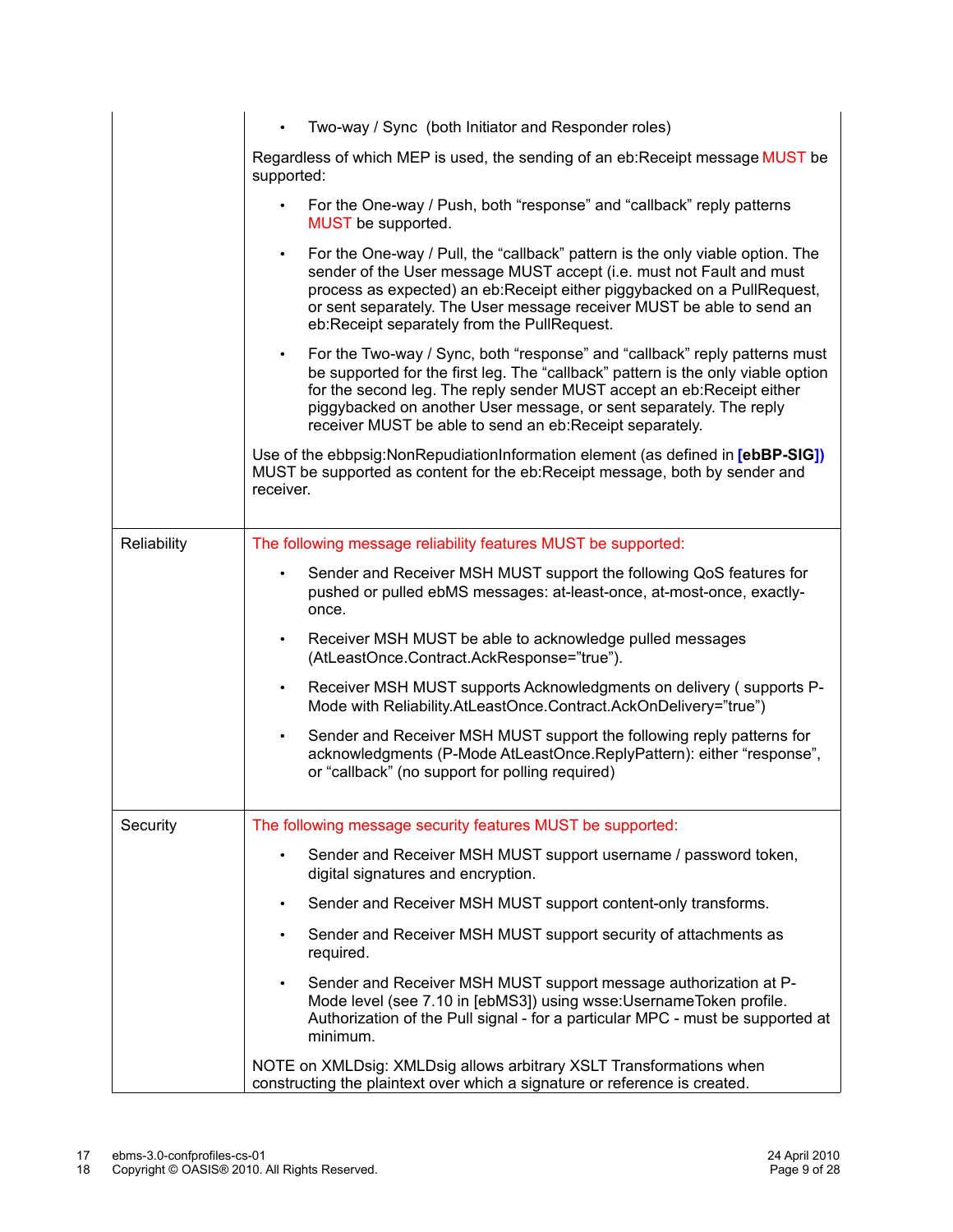|             | Two-way / Sync (both Initiator and Responder roles)<br>$\bullet$                                                                                                                                                                                                                                                                                                                       |
|-------------|----------------------------------------------------------------------------------------------------------------------------------------------------------------------------------------------------------------------------------------------------------------------------------------------------------------------------------------------------------------------------------------|
|             | Regardless of which MEP is used, the sending of an eb: Receipt message MUST be<br>supported:                                                                                                                                                                                                                                                                                           |
|             | For the One-way / Push, both "response" and "callback" reply patterns<br>MUST be supported.                                                                                                                                                                                                                                                                                            |
|             | For the One-way / Pull, the "callback" pattern is the only viable option. The<br>$\bullet$<br>sender of the User message MUST accept (i.e. must not Fault and must<br>process as expected) an eb:Receipt either piggybacked on a PullRequest,<br>or sent separately. The User message receiver MUST be able to send an<br>eb:Receipt separately from the PullRequest.                  |
|             | For the Two-way / Sync, both "response" and "callback" reply patterns must<br>$\bullet$<br>be supported for the first leg. The "callback" pattern is the only viable option<br>for the second leg. The reply sender MUST accept an eb:Receipt either<br>piggybacked on another User message, or sent separately. The reply<br>receiver MUST be able to send an eb: Receipt separately. |
|             | Use of the ebbpsig: Non Repudiation Information element (as defined in [ebBP-SIG])<br>MUST be supported as content for the eb: Receipt message, both by sender and<br>receiver.                                                                                                                                                                                                        |
| Reliability | The following message reliability features MUST be supported:                                                                                                                                                                                                                                                                                                                          |
|             | Sender and Receiver MSH MUST support the following QoS features for<br>$\bullet$<br>pushed or pulled ebMS messages: at-least-once, at-most-once, exactly-<br>once.                                                                                                                                                                                                                     |
|             | Receiver MSH MUST be able to acknowledge pulled messages<br>$\bullet$<br>(AtLeastOnce.Contract.AckResponse="true").                                                                                                                                                                                                                                                                    |
|             | Receiver MSH MUST supports Acknowledgments on delivery (supports P-<br>$\bullet$<br>Mode with Reliability.AtLeastOnce.Contract.AckOnDelivery="true")                                                                                                                                                                                                                                   |
|             | Sender and Receiver MSH MUST support the following reply patterns for<br>$\bullet$<br>acknowledgments (P-Mode AtLeastOnce.ReplyPattern): either "response",<br>or "callback" (no support for polling required)                                                                                                                                                                         |
| Security    | The following message security features MUST be supported:                                                                                                                                                                                                                                                                                                                             |
|             | Sender and Receiver MSH MUST support username / password token,<br>$\bullet$<br>digital signatures and encryption.                                                                                                                                                                                                                                                                     |
|             | Sender and Receiver MSH MUST support content-only transforms.<br>$\bullet$                                                                                                                                                                                                                                                                                                             |
|             | Sender and Receiver MSH MUST support security of attachments as<br>$\bullet$<br>required.                                                                                                                                                                                                                                                                                              |
|             | Sender and Receiver MSH MUST support message authorization at P-<br>Mode level (see 7.10 in [ebMS3]) using wsse: Username Token profile.<br>Authorization of the Pull signal - for a particular MPC - must be supported at<br>minimum.                                                                                                                                                 |
|             | NOTE on XMLDsig: XMLDsig allows arbitrary XSLT Transformations when<br>constructing the plaintext over which a signature or reference is created.                                                                                                                                                                                                                                      |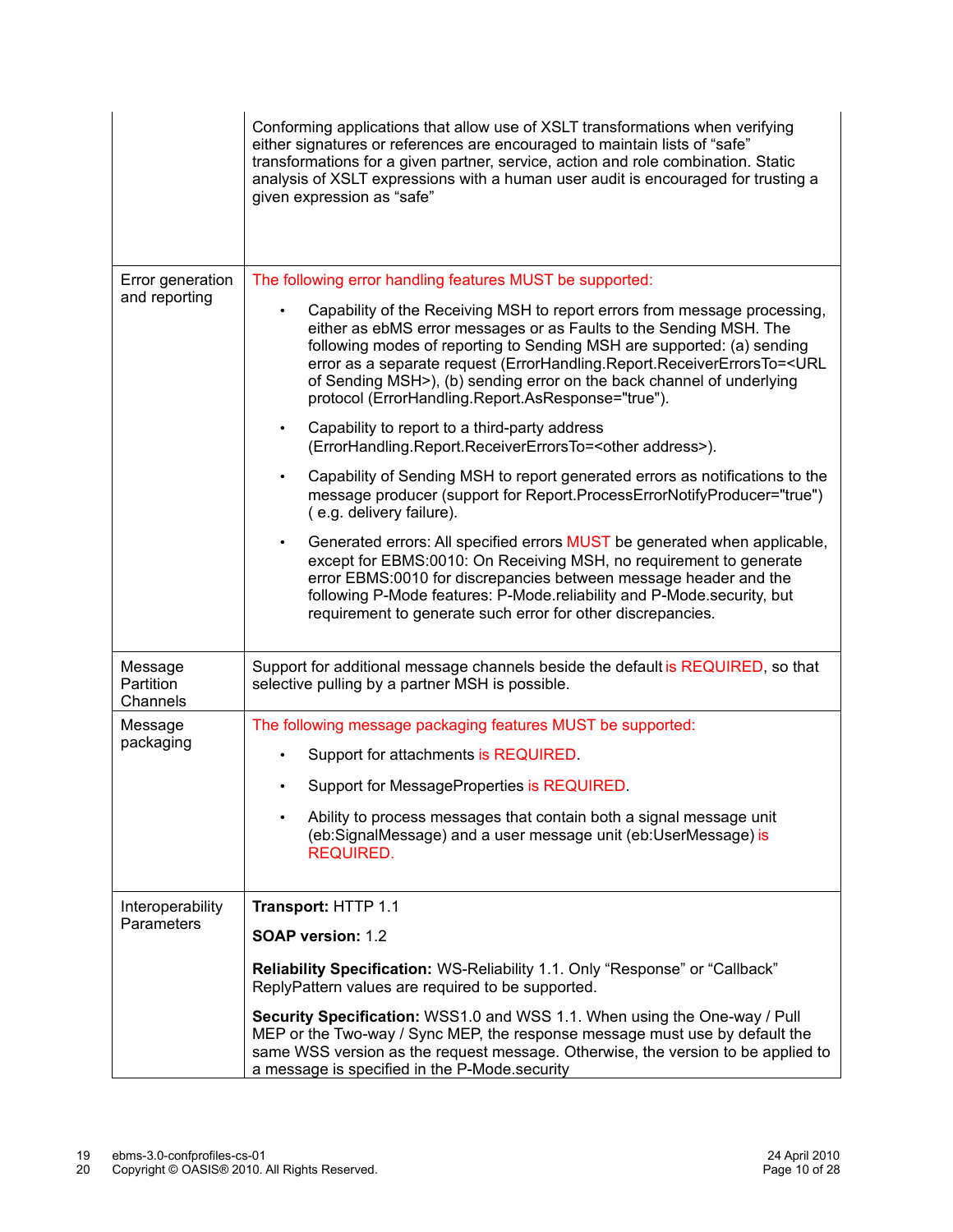|                                   | Conforming applications that allow use of XSLT transformations when verifying<br>either signatures or references are encouraged to maintain lists of "safe"<br>transformations for a given partner, service, action and role combination. Static<br>analysis of XSLT expressions with a human user audit is encouraged for trusting a<br>given expression as "safe"                                                                                                                                                                                                                                                                                                                                                                                                                                                                                                                                                                                                                                                                                                                                                                                                                                                                                                                        |
|-----------------------------------|--------------------------------------------------------------------------------------------------------------------------------------------------------------------------------------------------------------------------------------------------------------------------------------------------------------------------------------------------------------------------------------------------------------------------------------------------------------------------------------------------------------------------------------------------------------------------------------------------------------------------------------------------------------------------------------------------------------------------------------------------------------------------------------------------------------------------------------------------------------------------------------------------------------------------------------------------------------------------------------------------------------------------------------------------------------------------------------------------------------------------------------------------------------------------------------------------------------------------------------------------------------------------------------------|
| Error generation<br>and reporting | The following error handling features MUST be supported:<br>Capability of the Receiving MSH to report errors from message processing,<br>either as ebMS error messages or as Faults to the Sending MSH. The<br>following modes of reporting to Sending MSH are supported: (a) sending<br>error as a separate request (ErrorHandling.Report.ReceiverErrorsTo= <url<br>of Sending MSH&gt;), (b) sending error on the back channel of underlying<br/>protocol (ErrorHandling.Report.AsResponse="true").<br/>Capability to report to a third-party address<br/><math display="inline">\bullet</math><br/>(ErrorHandling.Report.ReceiverErrorsTo=<other address="">).<br/>Capability of Sending MSH to report generated errors as notifications to the<br/>message producer (support for Report.ProcessErrorNotifyProducer="true")<br/>(e.g. delivery failure).<br/>Generated errors: All specified errors MUST be generated when applicable,<br/><math display="inline">\bullet</math><br/>except for EBMS:0010: On Receiving MSH, no requirement to generate<br/>error EBMS:0010 for discrepancies between message header and the<br/>following P-Mode features: P-Mode.reliability and P-Mode.security, but<br/>requirement to generate such error for other discrepancies.</other></url<br> |
| Message<br>Partition<br>Channels  | Support for additional message channels beside the default is REQUIRED, so that<br>selective pulling by a partner MSH is possible.                                                                                                                                                                                                                                                                                                                                                                                                                                                                                                                                                                                                                                                                                                                                                                                                                                                                                                                                                                                                                                                                                                                                                         |
| Message<br>packaging              | The following message packaging features MUST be supported:<br>Support for attachments is REQUIRED.<br>Support for MessageProperties is REQUIRED.<br>Ability to process messages that contain both a signal message unit<br>$\bullet$<br>(eb:SignalMessage) and a user message unit (eb:UserMessage) is<br><b>REQUIRED.</b>                                                                                                                                                                                                                                                                                                                                                                                                                                                                                                                                                                                                                                                                                                                                                                                                                                                                                                                                                                |
| Interoperability<br>Parameters    | Transport: HTTP 1.1<br><b>SOAP version: 1.2</b><br>Reliability Specification: WS-Reliability 1.1. Only "Response" or "Callback"<br>ReplyPattern values are required to be supported.<br>Security Specification: WSS1.0 and WSS 1.1. When using the One-way / Pull<br>MEP or the Two-way / Sync MEP, the response message must use by default the<br>same WSS version as the request message. Otherwise, the version to be applied to<br>a message is specified in the P-Mode security                                                                                                                                                                                                                                                                                                                                                                                                                                                                                                                                                                                                                                                                                                                                                                                                      |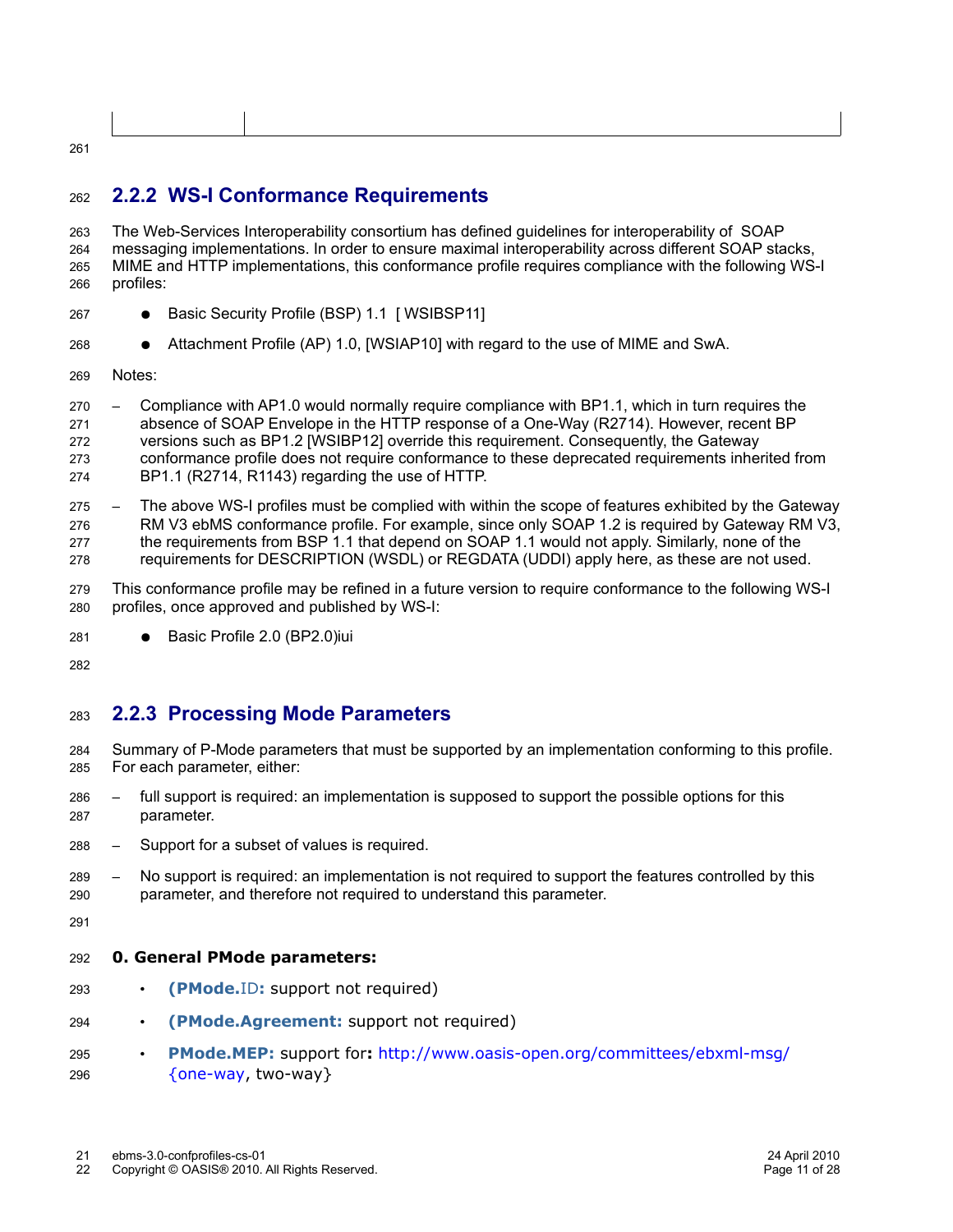# 261

#### **2.2.2 WS-I Conformance Requirements** 262

The Web-Services Interoperability consortium has defined guidelines for interoperability of SOAP messaging implementations. In order to ensure maximal interoperability across different SOAP stacks, MIME and HTTP implementations, this conformance profile requires compliance with the following WS-I profiles: 263 264 265 266

- Basic Security Profile (BSP) 1.1 [ WSIBSP11] 267
- Attachment Profile (AP) 1.0, [WSIAP10] with regard to the use of MIME and SwA. 268
- Notes: 269

– Compliance with AP1.0 would normally require compliance with BP1.1, which in turn requires the absence of SOAP Envelope in the HTTP response of a One-Way (R2714). However, recent BP versions such as BP1.2 [WSIBP12] override this requirement. Consequently, the Gateway conformance profile does not require conformance to these deprecated requirements inherited from BP1.1 (R2714, R1143) regarding the use of HTTP. 270 271 272 273 274

– The above WS-I profiles must be complied with within the scope of features exhibited by the Gateway RM V3 ebMS conformance profile. For example, since only SOAP 1.2 is required by Gateway RM V3, the requirements from BSP 1.1 that depend on SOAP 1.1 would not apply. Similarly, none of the requirements for DESCRIPTION (WSDL) or REGDATA (UDDI) apply here, as these are not used. 275 276 277 278

- This conformance profile may be refined in a future version to require conformance to the following WS-I profiles, once approved and published by WS-I: 279 280
- Basic Profile 2.0 (BP2.0)iui 281
- 282

#### **2.2.3 Processing Mode Parameters** 283

Summary of P-Mode parameters that must be supported by an implementation conforming to this profile. For each parameter, either: 284 285

- full support is required: an implementation is supposed to support the possible options for this parameter. 286 287
- Support for a subset of values is required. 288
- No support is required: an implementation is not required to support the features controlled by this parameter, and therefore not required to understand this parameter. 289 290
- 291

#### **0. General PMode parameters:** 292

- **(PMode.**ID**:** support not required) 293
- **(PMode.Agreement:** support not required) 294
- **PMode.MEP:** support for**:** [http://www.oasis-open.org/committees/ebxml-msg/](http://www.oasis-open.org/committees/ebxml-msg/%20%7Bone-way) [{one-way,](http://www.oasis-open.org/committees/ebxml-msg/%20%7Bone-way) two-way} 295 296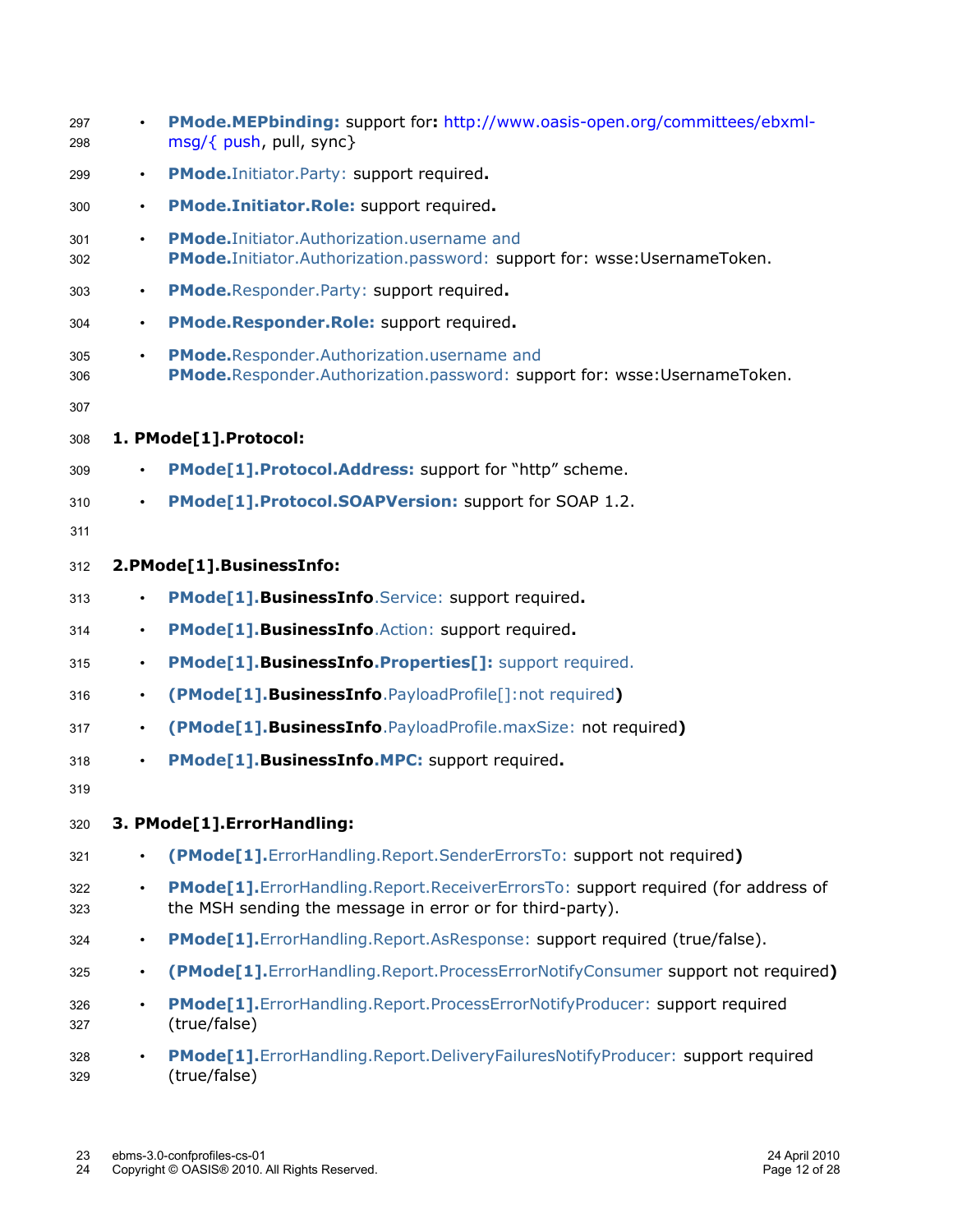| 297<br>298 |           | PMode.MEPbinding: support for: http://www.oasis-open.org/committees/ebxml-<br>msg/{ push, pull, sync}                                            |
|------------|-----------|--------------------------------------------------------------------------------------------------------------------------------------------------|
| 299        | $\bullet$ | PMode. Initiator. Party: support required.                                                                                                       |
| 300        | $\bullet$ | PMode.Initiator.Role: support required.                                                                                                          |
| 301<br>302 |           | <b>PMode.</b> Initiator. Authorization. username and<br>PMode.Initiator.Authorization.password: support for: wsse:UsernameToken.                 |
| 303        | $\bullet$ | PMode.Responder.Party: support required.                                                                                                         |
| 304        | $\bullet$ | PMode.Responder.Role: support required.                                                                                                          |
| 305<br>306 | $\bullet$ | PMode.Responder.Authorization.username and<br>PMode.Responder.Authorization.password: support for: wsse:UsernameToken.                           |
| 307        |           |                                                                                                                                                  |
| 308        |           | 1. PMode[1].Protocol:                                                                                                                            |
| 309        | $\bullet$ | PMode[1].Protocol.Address: support for "http" scheme.                                                                                            |
| 310        |           | PMode[1].Protocol.SOAPVersion: support for SOAP 1.2.                                                                                             |
| 311        |           |                                                                                                                                                  |
| 312        |           | 2.PMode[1].BusinessInfo:                                                                                                                         |
| 313        | $\bullet$ | PMode <sup>[1]</sup> . BusinessInfo. Service: support required.                                                                                  |
| 314        | $\bullet$ | PMode <sup>[1]</sup> . BusinessInfo. Action: support required.                                                                                   |
| 315        | $\bullet$ | PMode[1].BusinessInfo.Properties[]: support required.                                                                                            |
| 316        | $\bullet$ | (PMode[1].BusinessInfo.PayloadProfile[]:not required)                                                                                            |
| 317        | $\bullet$ | (PMode[1].BusinessInfo.PayloadProfile.maxSize: not required)                                                                                     |
| 318        | $\bullet$ | PMode <sup>[1]</sup> . BusinessInfo.MPC: support required.                                                                                       |
| 319        |           |                                                                                                                                                  |
| 320        |           | 3. PMode[1].ErrorHandling:                                                                                                                       |
| 321        |           | (PMode[1]. ErrorHandling. Report. Sender Errors To: support not required)                                                                        |
| 322<br>323 |           | PMode[1]. ErrorHandling. Report. ReceiverErrorsTo: support required (for address of<br>the MSH sending the message in error or for third-party). |
| 324        | $\bullet$ | PMode[1].ErrorHandling.Report.AsResponse: support required (true/false).                                                                         |
| 325        | $\bullet$ | (PMode[1].ErrorHandling.Report.ProcessErrorNotifyConsumer support not required)                                                                  |
| 326<br>327 |           | PMode[1].ErrorHandling.Report.ProcessErrorNotifyProducer: support required<br>(true/false)                                                       |
| 328<br>329 |           | PMode[1].ErrorHandling.Report.DeliveryFailuresNotifyProducer: support required<br>(true/false)                                                   |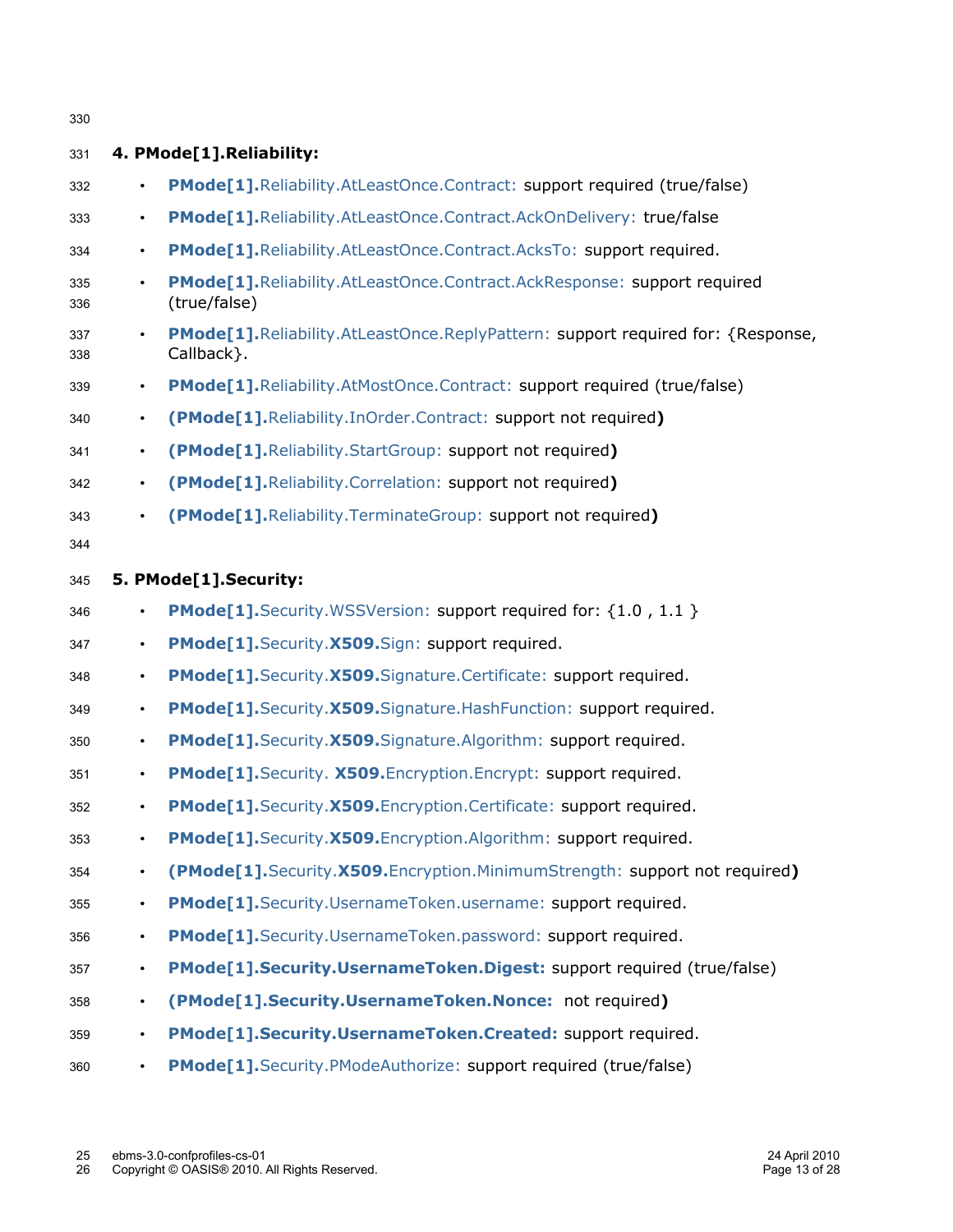| 330        |           |                                                                                                |
|------------|-----------|------------------------------------------------------------------------------------------------|
| 331        |           | 4. PMode[1].Reliability:                                                                       |
| 332        | $\bullet$ | PMode[1]. Reliability. At Least Once. Contract: support required (true/false)                  |
| 333        | $\bullet$ | PMode[1].Reliability.AtLeastOnce.Contract.AckOnDelivery: true/false                            |
| 334        | $\bullet$ | PMode[1].Reliability.AtLeastOnce.Contract.AcksTo: support required.                            |
| 335<br>336 | $\bullet$ | PMode[1].Reliability.AtLeastOnce.Contract.AckResponse: support required<br>(true/false)        |
| 337<br>338 |           | PMode[1].Reliability.AtLeastOnce.ReplyPattern: support required for: {Response,<br>Callback }. |
| 339        | $\bullet$ | PMode[1].Reliability.AtMostOnce.Contract: support required (true/false)                        |
| 340        | $\bullet$ | (PMode[1].Reliability.InOrder.Contract: support not required)                                  |
| 341        | $\bullet$ | (PMode[1]. Reliability. Start Group: support not required)                                     |
| 342        | $\bullet$ | (PMode[1].Reliability.Correlation: support not required)                                       |
| 343        | $\bullet$ | (PMode[1].Reliability.TerminateGroup: support not required)                                    |
| 344        |           |                                                                                                |
| 345        |           | 5. PMode[1].Security:                                                                          |
| 346        | $\bullet$ | <b>PMode[1].</b> Security. WSSVersion: support required for: {1.0, 1.1 }                       |
| 347        | $\bullet$ | PMode[1].Security.X509.Sign: support required.                                                 |
| 348        | $\bullet$ | PMode[1]. Security. X509. Signature. Certificate: support required.                            |
| 349        | $\bullet$ | PMode[1].Security.X509.Signature.HashFunction: support required.                               |
| 350        | $\bullet$ | PMode[1].Security.X509.Signature.Algorithm: support required.                                  |
| 351        | $\bullet$ | PMode[1]. Security. X509. Encryption. Encrypt: support required.                               |
| 352        |           | PMode[1].Security.X509.Encryption.Certificate: support required.                               |
| 353        | $\bullet$ | PMode[1].Security.X509.Encryption.Algorithm: support required.                                 |
| 354        | $\bullet$ | (PMode[1].Security.X509.Encryption.MinimumStrength: support not required)                      |
| 355        | $\bullet$ | PMode[1].Security.UsernameToken.username: support required.                                    |
| 356        | $\bullet$ | PMode[1].Security.UsernameToken.password: support required.                                    |
| 357        | $\bullet$ | PMode[1].Security.UsernameToken.Digest: support required (true/false)                          |
| 358        | $\bullet$ | (PMode[1].Security.UsernameToken.Nonce: not required)                                          |
| 359        |           | PMode[1].Security.UsernameToken.Created: support required.                                     |
| 360        | $\bullet$ | PMode[1].Security.PModeAuthorize: support required (true/false)                                |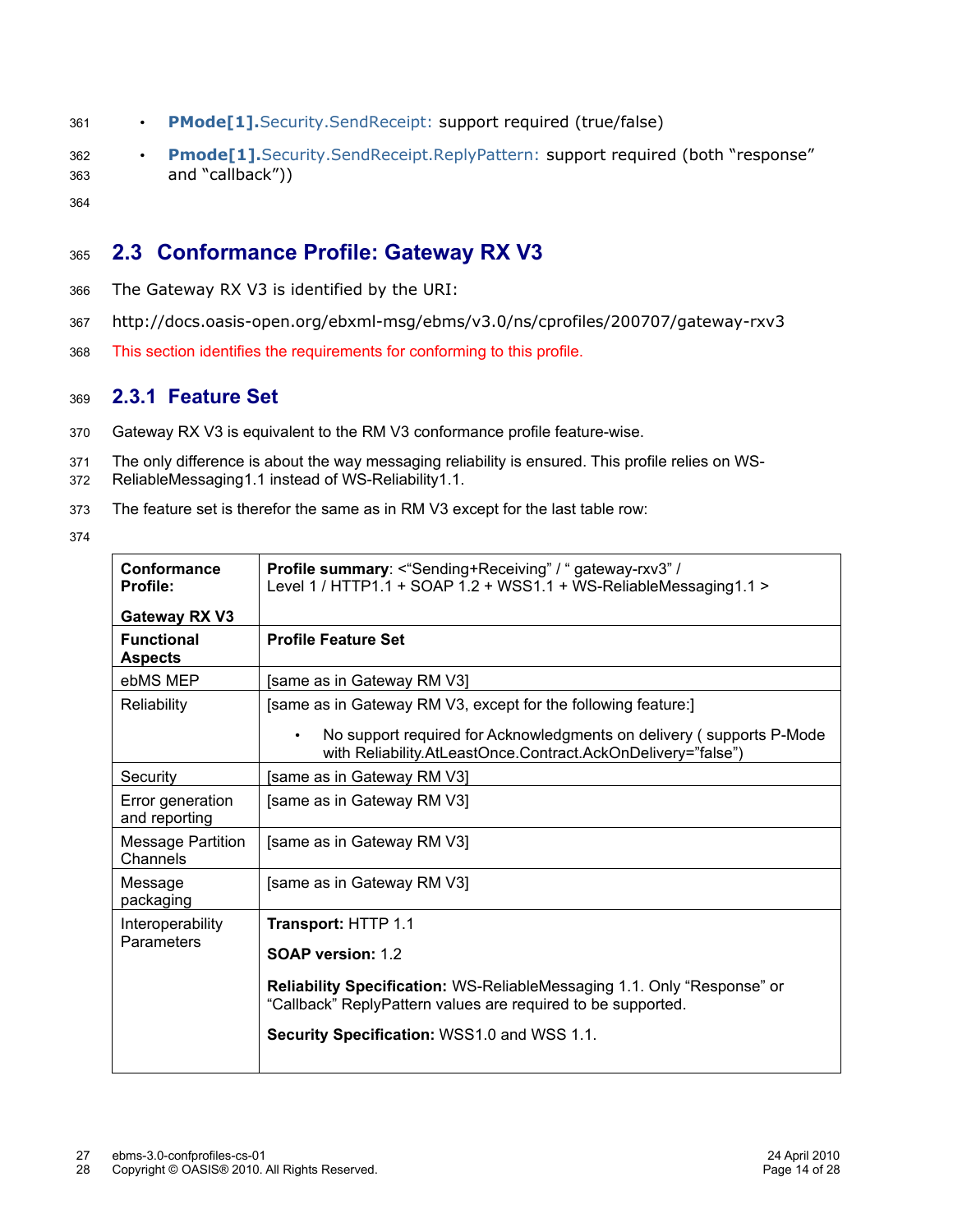- **PMode[1].**Security.SendReceipt: support required (true/false) 361
- **Pmode[1].**Security.SendReceipt.ReplyPattern: support required (both "response" and "callback")) 362 363
- 364

#### **2.3 Conformance Profile: Gateway RX V3** 365

- The Gateway RX V3 is identified by the URI: 366
- http://docs.oasis-open.org/ebxml-msg/ebms/v3.0/ns/cprofiles/200707/gateway-rxv3 367
- This section identifies the requirements for conforming to this profile. 368

#### **2.3.1 Feature Set** 369

- Gateway RX V3 is equivalent to the RM V3 conformance profile feature-wise. 370
- The only difference is about the way messaging reliability is ensured. This profile relies on WS-ReliableMessaging1.1 instead of WS-Reliability1.1. 371 372
- The feature set is therefor the same as in RM V3 except for the last table row: 373
- 374

| Conformance<br>Profile:              | <b>Profile summary: &lt; "Sending+Receiving" / "gateway-rxv3" /</b><br>Level 1 / HTTP1.1 + SOAP 1.2 + WSS1.1 + WS-ReliableMessaging1.1 > |
|--------------------------------------|------------------------------------------------------------------------------------------------------------------------------------------|
| Gateway RX V3                        |                                                                                                                                          |
| <b>Functional</b><br><b>Aspects</b>  | <b>Profile Feature Set</b>                                                                                                               |
| ebMS MEP                             | [same as in Gateway RM V3]                                                                                                               |
| Reliability                          | [same as in Gateway RM V3, except for the following feature:]                                                                            |
|                                      | No support required for Acknowledgments on delivery (supports P-Mode<br>with Reliability.AtLeastOnce.Contract.AckOnDelivery="false")     |
| Security                             | [same as in Gateway RM V3]                                                                                                               |
| Error generation<br>and reporting    | [same as in Gateway RM V3]                                                                                                               |
| <b>Message Partition</b><br>Channels | [same as in Gateway RM V3]                                                                                                               |
| Message<br>packaging                 | [same as in Gateway RM V3]                                                                                                               |
| Interoperability                     | <b>Transport: HTTP 1.1</b>                                                                                                               |
| Parameters                           | <b>SOAP version: 1.2</b>                                                                                                                 |
|                                      | Reliability Specification: WS-ReliableMessaging 1.1. Only "Response" or<br>"Callback" ReplyPattern values are required to be supported.  |
|                                      | Security Specification: WSS1.0 and WSS 1.1.                                                                                              |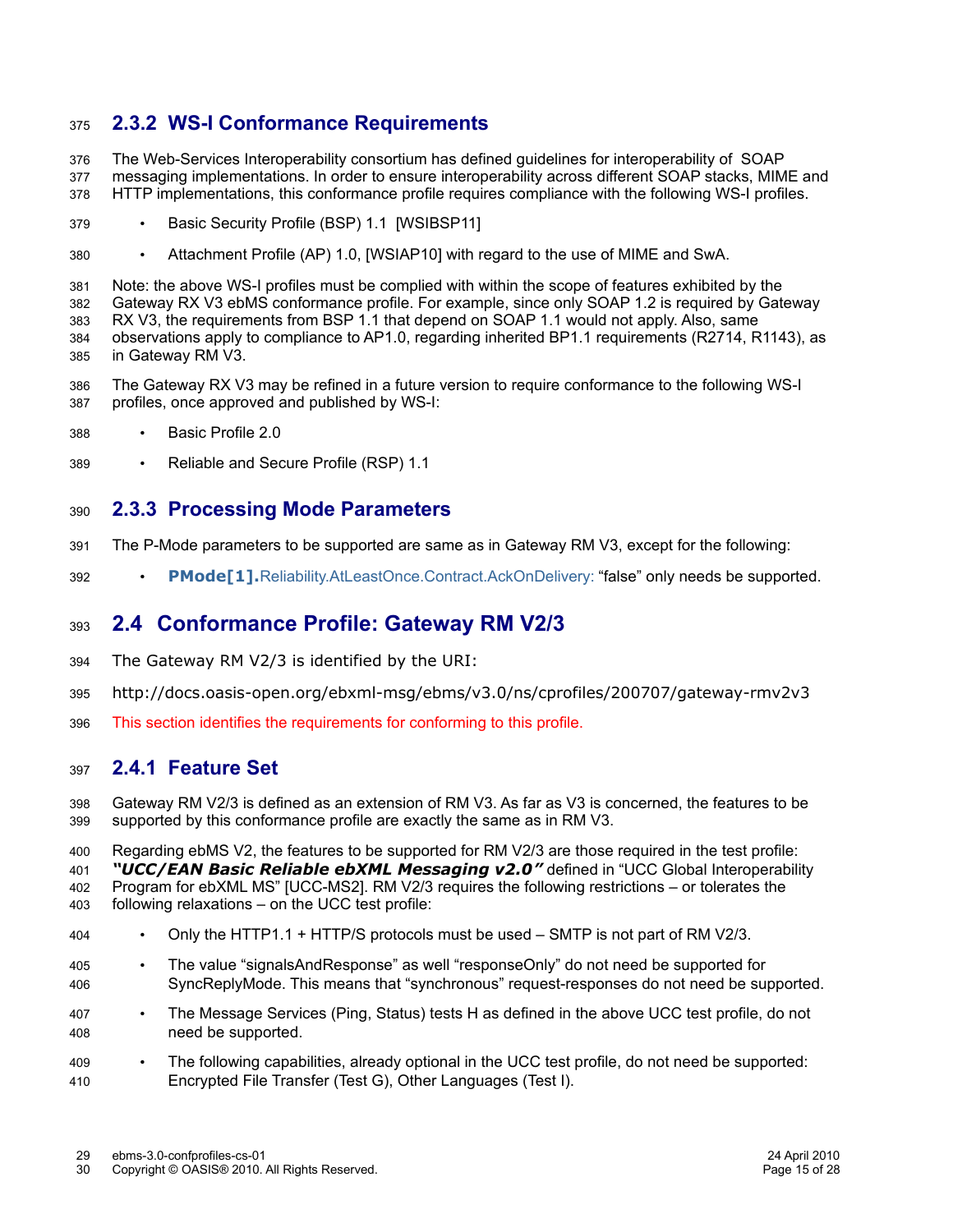#### **2.3.2 WS-I Conformance Requirements** 375

The Web-Services Interoperability consortium has defined guidelines for interoperability of SOAP messaging implementations. In order to ensure interoperability across different SOAP stacks, MIME and HTTP implementations, this conformance profile requires compliance with the following WS-I profiles. 376 377 378

- Basic Security Profile (BSP) 1.1 [WSIBSP11] 379
- Attachment Profile (AP) 1.0, [WSIAP10] with regard to the use of MIME and SwA. 380

Note: the above WS-I profiles must be complied with within the scope of features exhibited by the Gateway RX V3 ebMS conformance profile. For example, since only SOAP 1.2 is required by Gateway RX V3, the requirements from BSP 1.1 that depend on SOAP 1.1 would not apply. Also, same observations apply to compliance to AP1.0, regarding inherited BP1.1 requirements (R2714, R1143), as in Gateway RM V3. 381 382 383 384 385

- The Gateway RX V3 may be refined in a future version to require conformance to the following WS-I profiles, once approved and published by WS-I: 386 387
- Basic Profile 2.0 388
- Reliable and Secure Profile (RSP) 1.1 389

#### **2.3.3 Processing Mode Parameters** 390

- The P-Mode parameters to be supported are same as in Gateway RM V3, except for the following: 391
- **PMode[1].**Reliability.AtLeastOnce.Contract.AckOnDelivery: "false" only needs be supported. 392

#### **2.4 Conformance Profile: Gateway RM V2/3** 393

- The Gateway RM V2/3 is identified by the URI: 394
- http://docs.oasis-open.org/ebxml-msg/ebms/v3.0/ns/cprofiles/200707/gateway-rmv2v3 395
- This section identifies the requirements for conforming to this profile. 396

#### **2.4.1 Feature Set** 397

Gateway RM V2/3 is defined as an extension of RM V3. As far as V3 is concerned, the features to be supported by this conformance profile are exactly the same as in RM V3. 398 399

Regarding ebMS V2, the features to be supported for RM V2/3 are those required in the test profile: 400

*"UCC/EAN Basic Reliable ebXML Messaging v2.0"* defined in "UCC Global Interoperability Program for ebXML MS" [UCC-MS2]. RM V2/3 requires the following restrictions – or tolerates the 401 402

following relaxations – on the UCC test profile: 403

- Only the HTTP1.1 + HTTP/S protocols must be used SMTP is not part of RM V2/3. 404
- The value "signalsAndResponse" as well "responseOnly" do not need be supported for SyncReplyMode. This means that "synchronous" request-responses do not need be supported. 405 406
- The Message Services (Ping, Status) tests H as defined in the above UCC test profile, do not need be supported. 407 408
- The following capabilities, already optional in the UCC test profile, do not need be supported: Encrypted File Transfer (Test G), Other Languages (Test I). 409 410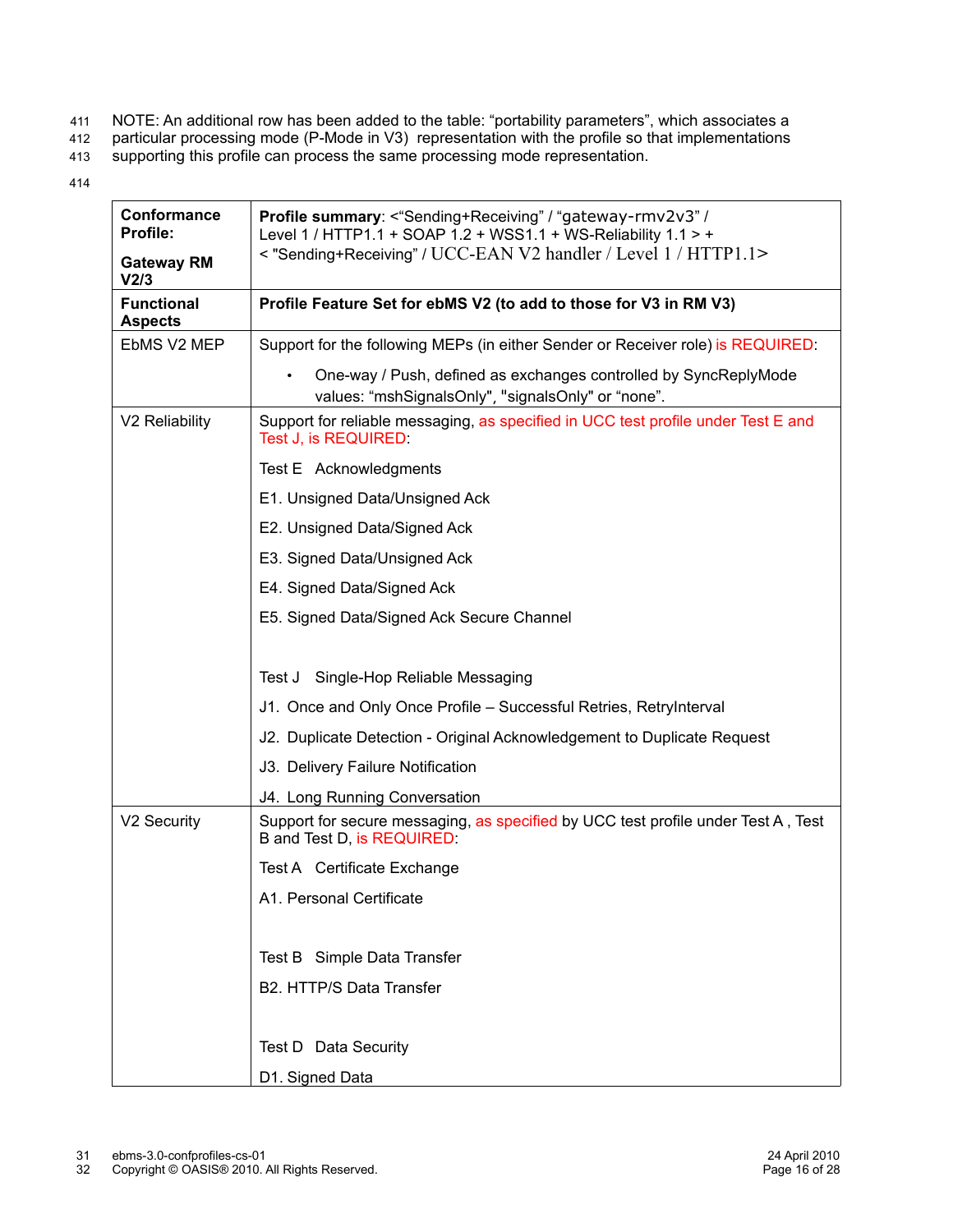- NOTE: An additional row has been added to the table: "portability parameters", which associates a 411
- particular processing mode (P-Mode in V3) representation with the profile so that implementations 412
- supporting this profile can process the same processing mode representation. 413
- 414

| Conformance<br>Profile:             | Profile summary: <"Sending+Receiving" / "gateway-rmv2v3" /<br>Level 1 / HTTP1.1 + SOAP 1.2 + WSS1.1 + WS-Reliability 1.1 > + |
|-------------------------------------|------------------------------------------------------------------------------------------------------------------------------|
| <b>Gateway RM</b><br>V2/3           | < "Sending+Receiving" / UCC-EAN V2 handler / Level 1 / HTTP1.1>                                                              |
| <b>Functional</b><br><b>Aspects</b> | Profile Feature Set for ebMS V2 (to add to those for V3 in RM V3)                                                            |
| EbMS V2 MEP                         | Support for the following MEPs (in either Sender or Receiver role) is REQUIRED:                                              |
|                                     | One-way / Push, defined as exchanges controlled by SyncReplyMode<br>values: "mshSignalsOnly", "signalsOnly" or "none".       |
| V2 Reliability                      | Support for reliable messaging, as specified in UCC test profile under Test E and<br>Test J, is REQUIRED:                    |
|                                     | Test E Acknowledgments                                                                                                       |
|                                     | E1. Unsigned Data/Unsigned Ack                                                                                               |
|                                     | E2. Unsigned Data/Signed Ack                                                                                                 |
|                                     | E3. Signed Data/Unsigned Ack                                                                                                 |
|                                     | E4. Signed Data/Signed Ack                                                                                                   |
|                                     | E5. Signed Data/Signed Ack Secure Channel                                                                                    |
|                                     |                                                                                                                              |
|                                     | Test J<br>Single-Hop Reliable Messaging                                                                                      |
|                                     | J1. Once and Only Once Profile - Successful Retries, RetryInterval                                                           |
|                                     | J2. Duplicate Detection - Original Acknowledgement to Duplicate Request                                                      |
|                                     | J3. Delivery Failure Notification                                                                                            |
|                                     | J4. Long Running Conversation                                                                                                |
| V2 Security                         | Support for secure messaging, as specified by UCC test profile under Test A, Test<br>B and Test D, is REQUIRED:              |
|                                     | Test A Certificate Exchange                                                                                                  |
|                                     | A1. Personal Certificate                                                                                                     |
|                                     |                                                                                                                              |
|                                     | Test B Simple Data Transfer                                                                                                  |
|                                     | B2. HTTP/S Data Transfer                                                                                                     |
|                                     |                                                                                                                              |
|                                     | Test D Data Security                                                                                                         |
|                                     | D1. Signed Data                                                                                                              |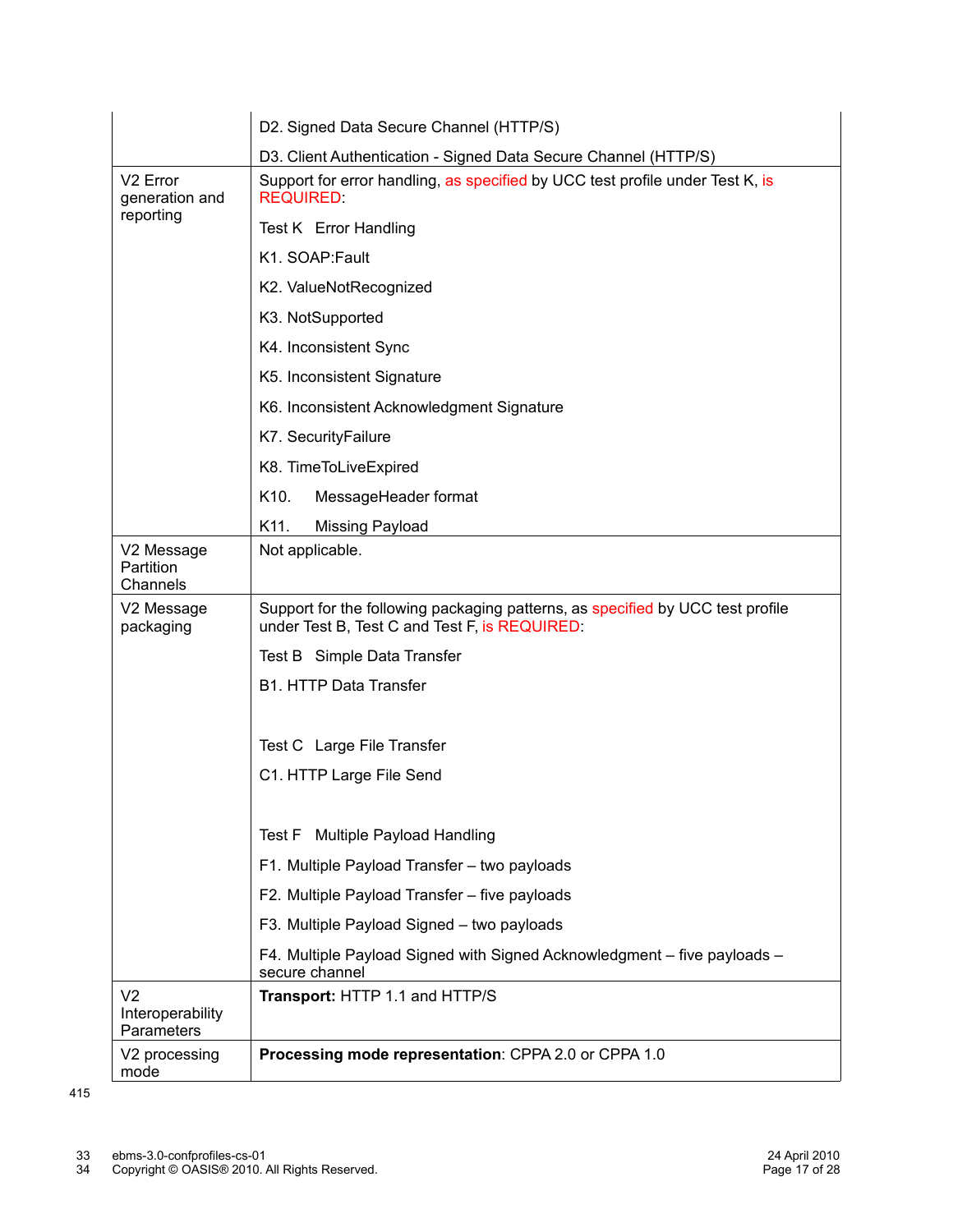|                                                  | D2. Signed Data Secure Channel (HTTP/S)                                                                                         |  |  |  |
|--------------------------------------------------|---------------------------------------------------------------------------------------------------------------------------------|--|--|--|
|                                                  | D3. Client Authentication - Signed Data Secure Channel (HTTP/S)                                                                 |  |  |  |
| V <sub>2</sub> Error<br>generation and           | Support for error handling, as specified by UCC test profile under Test K, is<br><b>REQUIRED</b>                                |  |  |  |
| reporting                                        | Test K Error Handling                                                                                                           |  |  |  |
|                                                  | K1. SOAP: Fault                                                                                                                 |  |  |  |
|                                                  | K2. ValueNotRecognized                                                                                                          |  |  |  |
|                                                  | K3. NotSupported                                                                                                                |  |  |  |
|                                                  | K4. Inconsistent Sync                                                                                                           |  |  |  |
|                                                  | K5. Inconsistent Signature                                                                                                      |  |  |  |
|                                                  | K6. Inconsistent Acknowledgment Signature                                                                                       |  |  |  |
|                                                  | K7. SecurityFailure                                                                                                             |  |  |  |
|                                                  | K8. TimeToLiveExpired                                                                                                           |  |  |  |
|                                                  | K <sub>10</sub> .<br>MessageHeader format                                                                                       |  |  |  |
|                                                  | K11.<br>Missing Payload                                                                                                         |  |  |  |
| V2 Message<br>Partition<br>Channels              | Not applicable.                                                                                                                 |  |  |  |
| V2 Message<br>packaging                          | Support for the following packaging patterns, as specified by UCC test profile<br>under Test B, Test C and Test F, is REQUIRED: |  |  |  |
|                                                  | Test B Simple Data Transfer                                                                                                     |  |  |  |
|                                                  | <b>B1. HTTP Data Transfer</b>                                                                                                   |  |  |  |
|                                                  |                                                                                                                                 |  |  |  |
|                                                  | Test C Large File Transfer                                                                                                      |  |  |  |
|                                                  | C1. HTTP Large File Send                                                                                                        |  |  |  |
|                                                  |                                                                                                                                 |  |  |  |
|                                                  | Multiple Payload Handling<br>Test F                                                                                             |  |  |  |
|                                                  | F1. Multiple Payload Transfer - two payloads                                                                                    |  |  |  |
|                                                  | F2. Multiple Payload Transfer - five payloads                                                                                   |  |  |  |
|                                                  | F3. Multiple Payload Signed - two payloads                                                                                      |  |  |  |
|                                                  | F4. Multiple Payload Signed with Signed Acknowledgment - five payloads -<br>secure channel                                      |  |  |  |
| V <sub>2</sub><br>Interoperability<br>Parameters | Transport: HTTP 1.1 and HTTP/S                                                                                                  |  |  |  |
| V2 processing<br>mode                            | Processing mode representation: CPPA 2.0 or CPPA 1.0                                                                            |  |  |  |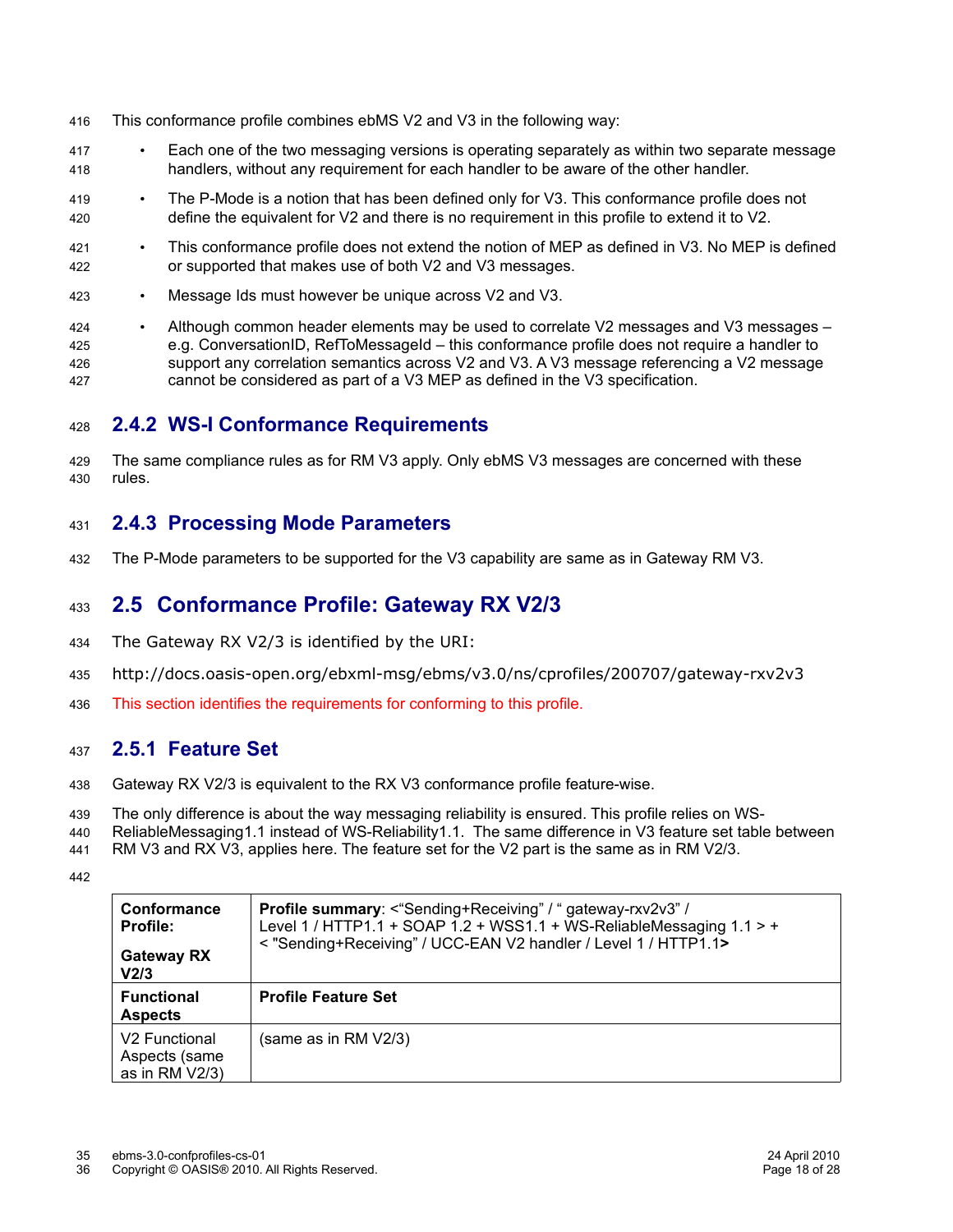- This conformance profile combines ebMS V2 and V3 in the following way: 416
- Each one of the two messaging versions is operating separately as within two separate message handlers, without any requirement for each handler to be aware of the other handler. 417 418
- The P-Mode is a notion that has been defined only for V3. This conformance profile does not define the equivalent for V2 and there is no requirement in this profile to extend it to V2. 419 420
- This conformance profile does not extend the notion of MEP as defined in V3. No MEP is defined or supported that makes use of both V2 and V3 messages. 421 422
- Message Ids must however be unique across V2 and V3. 423
- Although common header elements may be used to correlate V2 messages and V3 messages e.g. ConversationID, RefToMessageId – this conformance profile does not require a handler to support any correlation semantics across V2 and V3. A V3 message referencing a V2 message cannot be considered as part of a V3 MEP as defined in the V3 specification. 424 425 426 427

#### **2.4.2 WS-I Conformance Requirements** 428

The same compliance rules as for RM V3 apply. Only ebMS V3 messages are concerned with these rules. 429 430

#### **2.4.3 Processing Mode Parameters** 431

The P-Mode parameters to be supported for the V3 capability are same as in Gateway RM V3. 432

#### **2.5 Conformance Profile: Gateway RX V2/3** 433

- The Gateway RX V2/3 is identified by the URI: 434
- http://docs.oasis-open.org/ebxml-msg/ebms/v3.0/ns/cprofiles/200707/gateway-rxv2v3 435
- This section identifies the requirements for conforming to this profile. 436

#### **2.5.1 Feature Set** 437

- Gateway RX V2/3 is equivalent to the RX V3 conformance profile feature-wise. 438
- The only difference is about the way messaging reliability is ensured. This profile relies on WS-439
- ReliableMessaging1.1 instead of WS-Reliability1.1. The same difference in V3 feature set table between 440
- RM V3 and RX V3, applies here. The feature set for the V2 part is the same as in RM V2/3. 441
- 442

| Conformance<br><b>Profile:</b><br><b>Gateway RX</b><br>V <sub>2/3</sub> | Profile summary: <"Sending+Receiving" / " gateway-rxv2v3" /<br>Level 1 / HTTP1.1 + SOAP 1.2 + WSS1.1 + WS-ReliableMessaging $1.1 > +$<br>< "Sending+Receiving" / UCC-EAN V2 handler / Level 1 / HTTP1.1> |
|-------------------------------------------------------------------------|----------------------------------------------------------------------------------------------------------------------------------------------------------------------------------------------------------|
| <b>Functional</b><br><b>Aspects</b>                                     | <b>Profile Feature Set</b>                                                                                                                                                                               |
| V <sub>2</sub> Functional<br>Aspects (same<br>as in RM V2/3)            | (same as in RM V2/3)                                                                                                                                                                                     |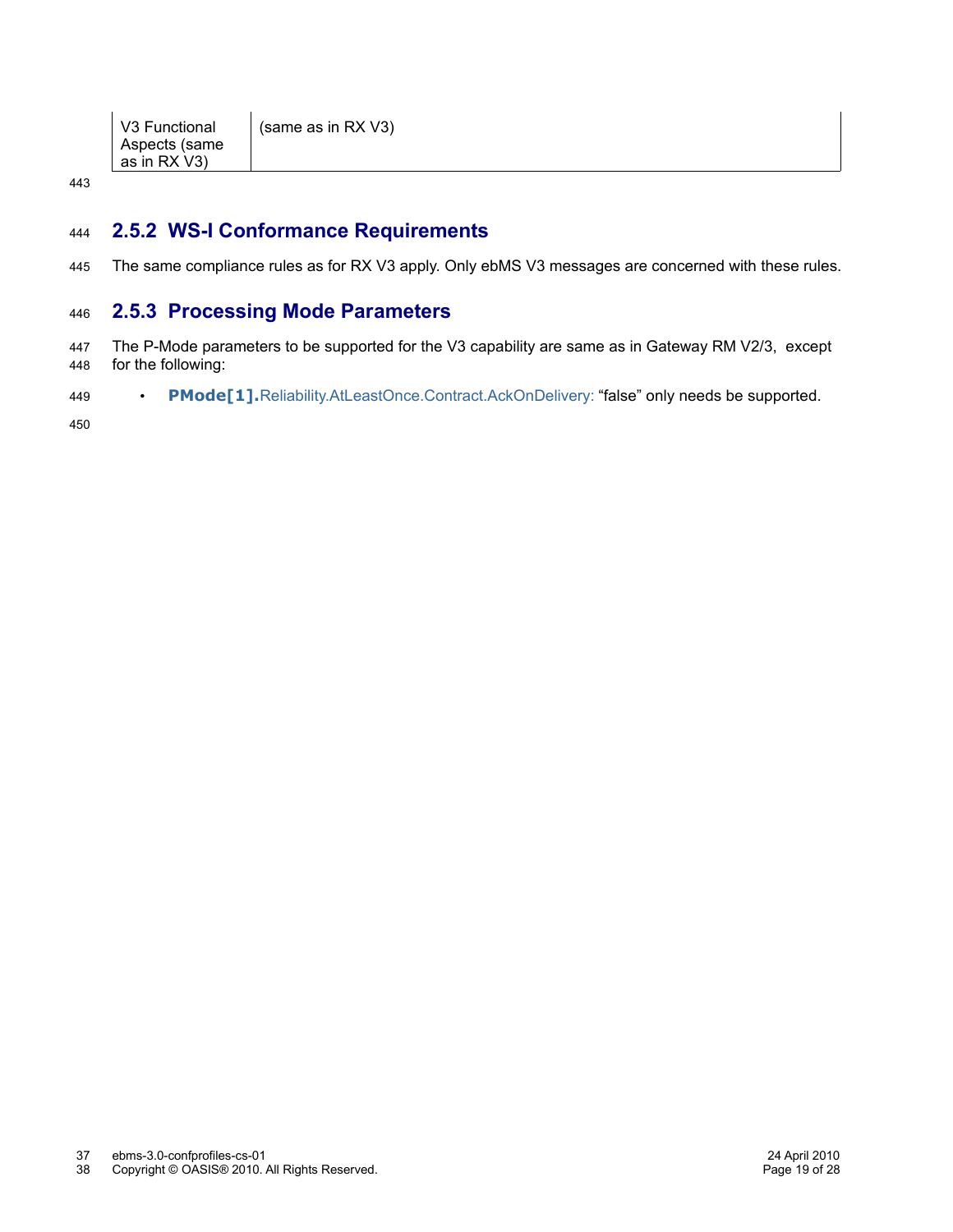| V3 Functional<br>Aspects (same<br>as in RX V3) | (same as in RX $V3$ ) |
|------------------------------------------------|-----------------------|
|------------------------------------------------|-----------------------|

443

#### **2.5.2 WS-I Conformance Requirements** 444

The same compliance rules as for RX V3 apply. Only ebMS V3 messages are concerned with these rules. 445

#### **2.5.3 Processing Mode Parameters** 446

- The P-Mode parameters to be supported for the V3 capability are same as in Gateway RM V2/3, except for the following: 447 448
- **PMode[1].**Reliability.AtLeastOnce.Contract.AckOnDelivery: "false" only needs be supported. 449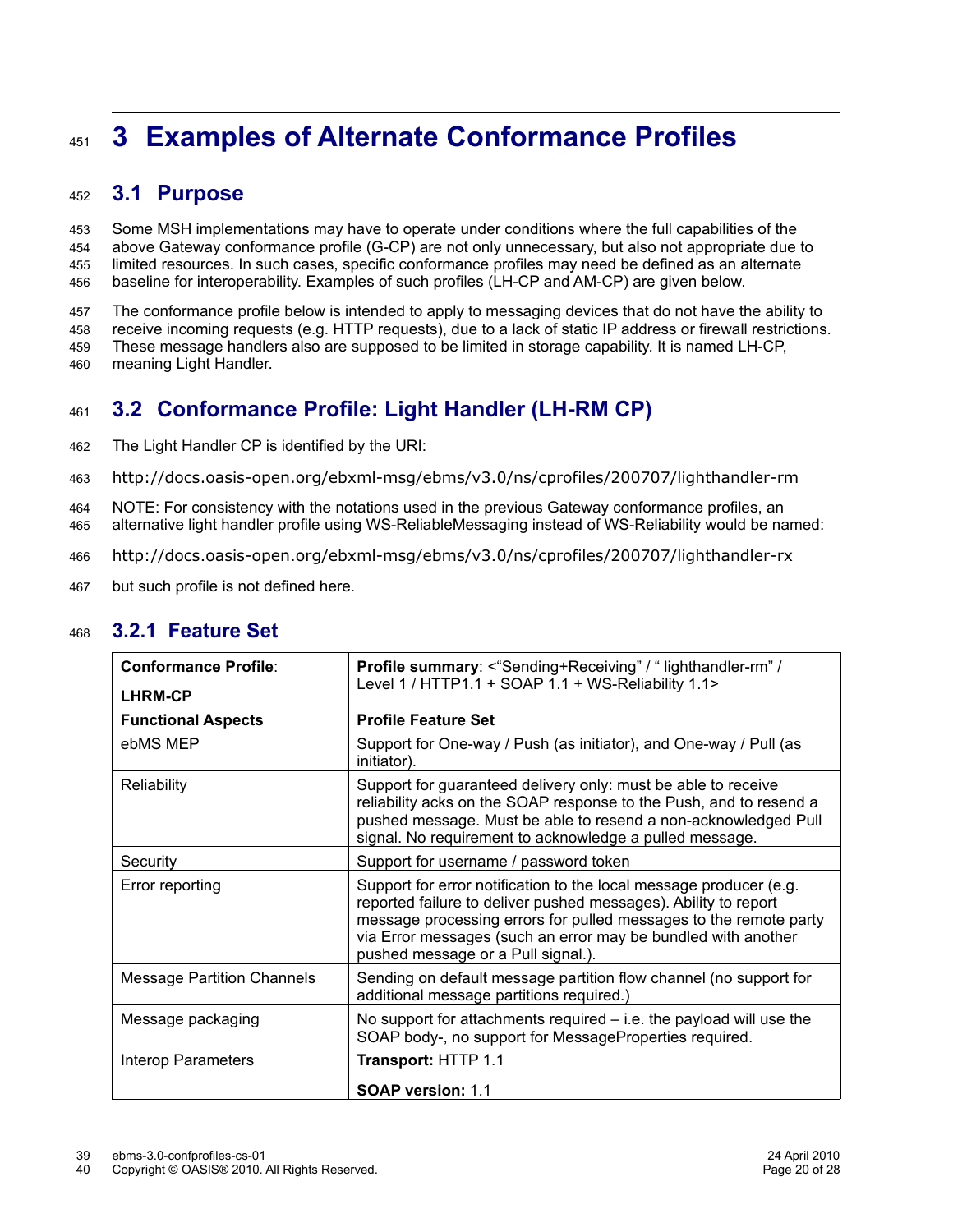# **3 Examples of Alternate Conformance Profiles** 451

#### **3.1 Purpose** 452

Some MSH implementations may have to operate under conditions where the full capabilities of the above Gateway conformance profile (G-CP) are not only unnecessary, but also not appropriate due to limited resources. In such cases, specific conformance profiles may need be defined as an alternate baseline for interoperability. Examples of such profiles (LH-CP and AM-CP) are given below. 453 454 455 456

The conformance profile below is intended to apply to messaging devices that do not have the ability to receive incoming requests (e.g. HTTP requests), due to a lack of static IP address or firewall restrictions. These message handlers also are supposed to be limited in storage capability. It is named LH-CP, meaning Light Handler. 457 458 459 460

#### **3.2 Conformance Profile: Light Handler (LH-RM CP)** 461

- The Light Handler CP is identified by the URI: 462
- http://docs.oasis-open.org/ebxml-msg/ebms/v3.0/ns/cprofiles/200707/lighthandler-rm 463
- NOTE: For consistency with the notations used in the previous Gateway conformance profiles, an alternative light handler profile using WS-ReliableMessaging instead of WS-Reliability would be named: 464 465
- http://docs.oasis-open.org/ebxml-msg/ebms/v3.0/ns/cprofiles/200707/lighthandler-rx 466
- but such profile is not defined here. 467

| <b>Conformance Profile:</b><br><b>LHRM-CP</b> | <b>Profile summary: &lt; "Sending+Receiving" / " lighthandler-rm" /</b><br>Level 1 / HTTP1.1 + SOAP 1.1 + WS-Reliability 1.1>                                                                                                                                                                                     |
|-----------------------------------------------|-------------------------------------------------------------------------------------------------------------------------------------------------------------------------------------------------------------------------------------------------------------------------------------------------------------------|
| <b>Functional Aspects</b>                     | <b>Profile Feature Set</b>                                                                                                                                                                                                                                                                                        |
| ebMS MEP                                      | Support for One-way / Push (as initiator), and One-way / Pull (as<br>initiator).                                                                                                                                                                                                                                  |
| Reliability                                   | Support for guaranteed delivery only: must be able to receive<br>reliability acks on the SOAP response to the Push, and to resend a<br>pushed message. Must be able to resend a non-acknowledged Pull<br>signal. No requirement to acknowledge a pulled message.                                                  |
| Security                                      | Support for username / password token                                                                                                                                                                                                                                                                             |
| Error reporting                               | Support for error notification to the local message producer (e.g.<br>reported failure to deliver pushed messages). Ability to report<br>message processing errors for pulled messages to the remote party<br>via Error messages (such an error may be bundled with another<br>pushed message or a Pull signal.). |
| <b>Message Partition Channels</b>             | Sending on default message partition flow channel (no support for<br>additional message partitions required.)                                                                                                                                                                                                     |
| Message packaging                             | No support for attachments required $-$ i.e. the payload will use the<br>SOAP body-, no support for MessageProperties required.                                                                                                                                                                                   |
| <b>Interop Parameters</b>                     | Transport: HTTP 1.1<br><b>SOAP version: 1.1</b>                                                                                                                                                                                                                                                                   |

#### **3.2.1 Feature Set** 468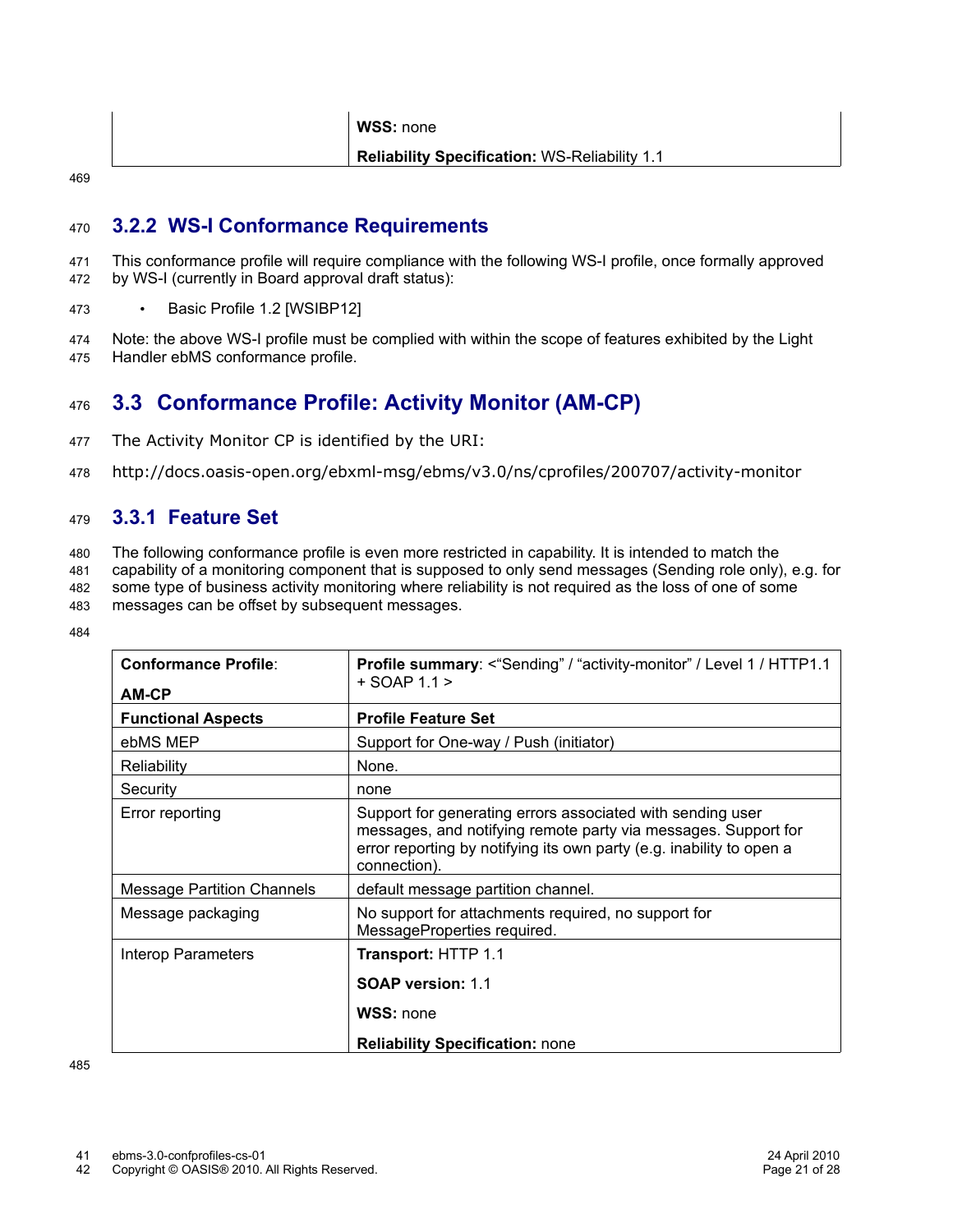|     | WSS: none                                            |
|-----|------------------------------------------------------|
|     | <b>Reliability Specification: WS-Reliability 1.1</b> |
| 469 |                                                      |

#### **3.2.2 WS-I Conformance Requirements** 470

- This conformance profile will require compliance with the following WS-I profile, once formally approved by WS-I (currently in Board approval draft status): 471 472
- Basic Profile 1.2 [WSIBP12] 473
- Note: the above WS-I profile must be complied with within the scope of features exhibited by the Light Handler ebMS conformance profile. 474 475

#### **3.3 Conformance Profile: Activity Monitor (AM-CP)** 476

- The Activity Monitor CP is identified by the URI: 477
- http://docs.oasis-open.org/ebxml-msg/ebms/v3.0/ns/cprofiles/200707/activity-monitor 478

#### **3.3.1 Feature Set** 479

- The following conformance profile is even more restricted in capability. It is intended to match the 480
- capability of a monitoring component that is supposed to only send messages (Sending role only), e.g. for 481
- some type of business activity monitoring where reliability is not required as the loss of one of some messages can be offset by subsequent messages. 482 483
- 484

| <b>Profile Feature Set</b>                                                                                                                                                                                           |
|----------------------------------------------------------------------------------------------------------------------------------------------------------------------------------------------------------------------|
|                                                                                                                                                                                                                      |
| Support for One-way / Push (initiator)                                                                                                                                                                               |
| None.                                                                                                                                                                                                                |
| none                                                                                                                                                                                                                 |
| Support for generating errors associated with sending user<br>messages, and notifying remote party via messages. Support for<br>error reporting by notifying its own party (e.g. inability to open a<br>connection). |
| default message partition channel.                                                                                                                                                                                   |
| No support for attachments required, no support for<br>MessageProperties required.                                                                                                                                   |
| Transport: HTTP 1.1<br><b>SOAP version: 1.1</b><br>WSS: none<br><b>Reliability Specification: none</b>                                                                                                               |
|                                                                                                                                                                                                                      |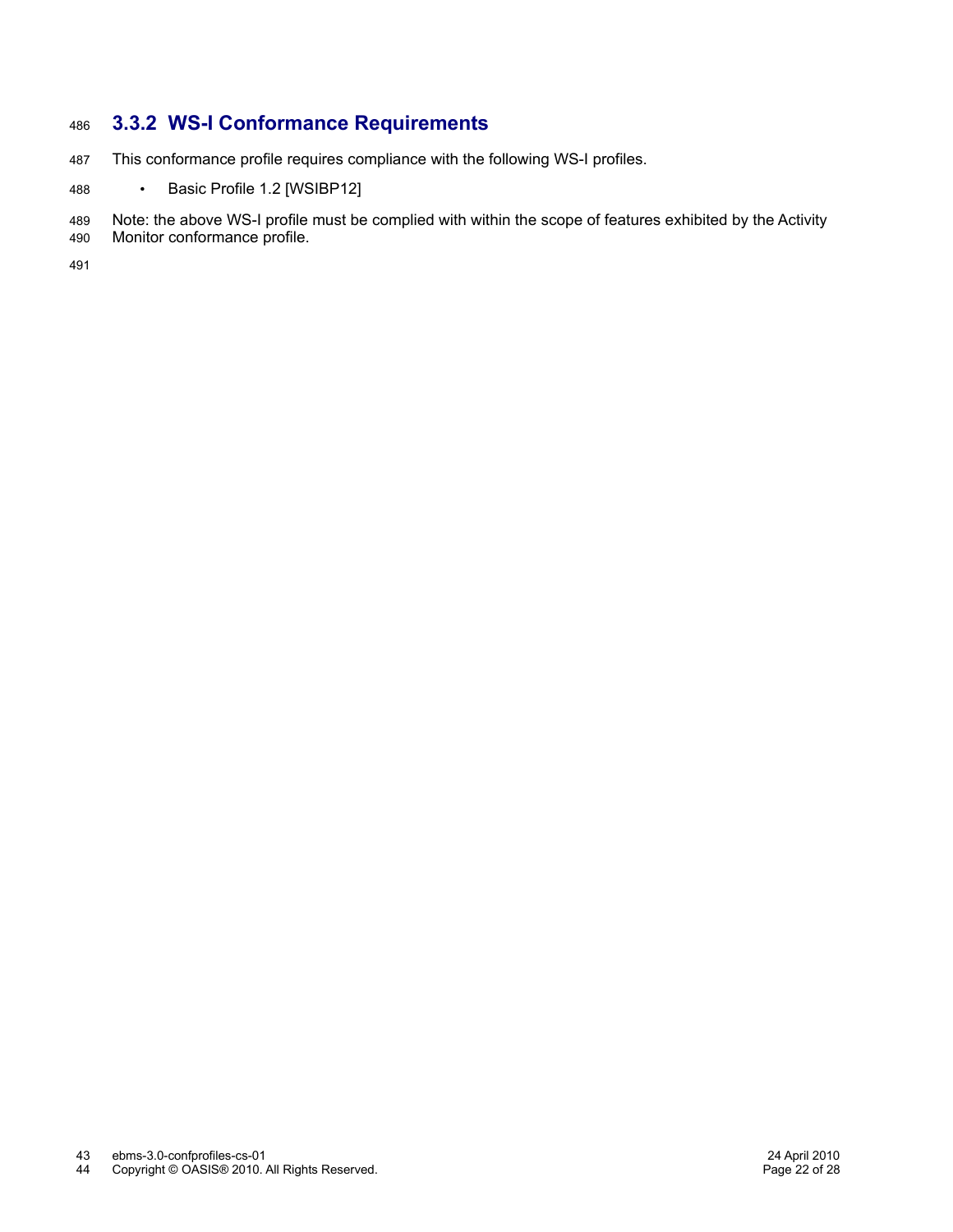#### **3.3.2 WS-I Conformance Requirements** 486

- This conformance profile requires compliance with the following WS-I profiles. 487
- Basic Profile 1.2 [WSIBP12] 488

Note: the above WS-I profile must be complied with within the scope of features exhibited by the Activity 489

Monitor conformance profile. 490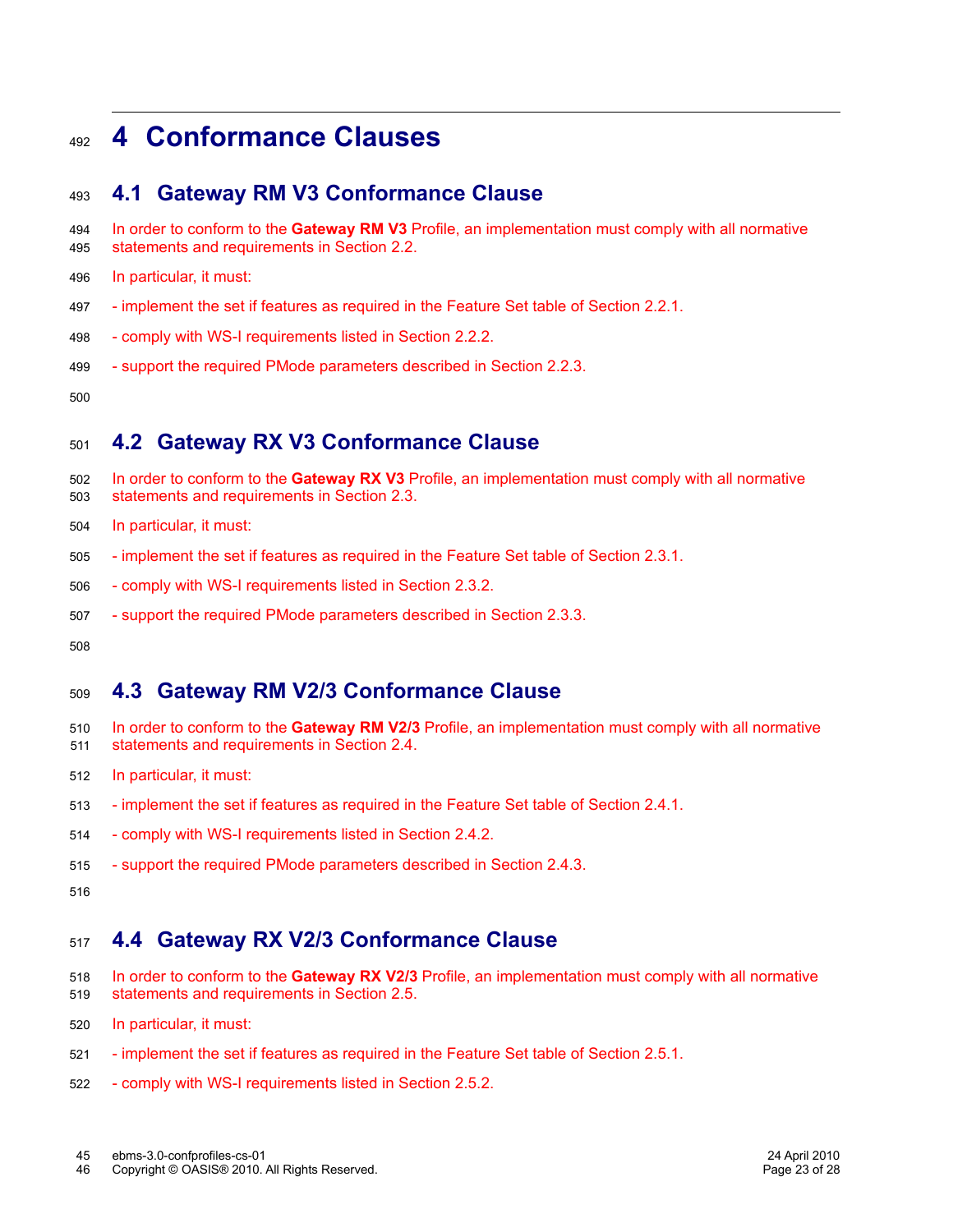### **4 Conformance Clauses** 492

#### **4.1 Gateway RM V3 Conformance Clause** 493

- In order to conform to the **Gateway RM V3** Profile, an implementation must comply with all normative statements and requirements in Section 2.2. 494 495
- In particular, it must: 496
- implement the set if features as required in the Feature Set table of Section 2.2.1. 497
- comply with WS-I requirements listed in Section 2.2.2. 498
- support the required PMode parameters described in Section 2.2.3. 499

500

#### **4.2 Gateway RX V3 Conformance Clause** 501

- In order to conform to the **Gateway RX V3** Profile, an implementation must comply with all normative statements and requirements in Section 2.3. 502 503
- In particular, it must: 504
- implement the set if features as required in the Feature Set table of Section 2.3.1. 505
- comply with WS-I requirements listed in Section 2.3.2. 506
- support the required PMode parameters described in Section 2.3.3. 507

508

#### **4.3 Gateway RM V2/3 Conformance Clause** 509

- In order to conform to the **Gateway RM V2/3** Profile, an implementation must comply with all normative statements and requirements in Section 2.4. 510 511
- In particular, it must: 512
- implement the set if features as required in the Feature Set table of Section 2.4.1. 513
- comply with WS-I requirements listed in Section 2.4.2. 514
- support the required PMode parameters described in Section 2.4.3. 515

516

#### **4.4 Gateway RX V2/3 Conformance Clause** 517

- In order to conform to the **Gateway RX V2/3** Profile, an implementation must comply with all normative statements and requirements in Section 2.5. 518 519
- In particular, it must: 520
- implement the set if features as required in the Feature Set table of Section 2.5.1. 521
- comply with WS-I requirements listed in Section 2.5.2. 522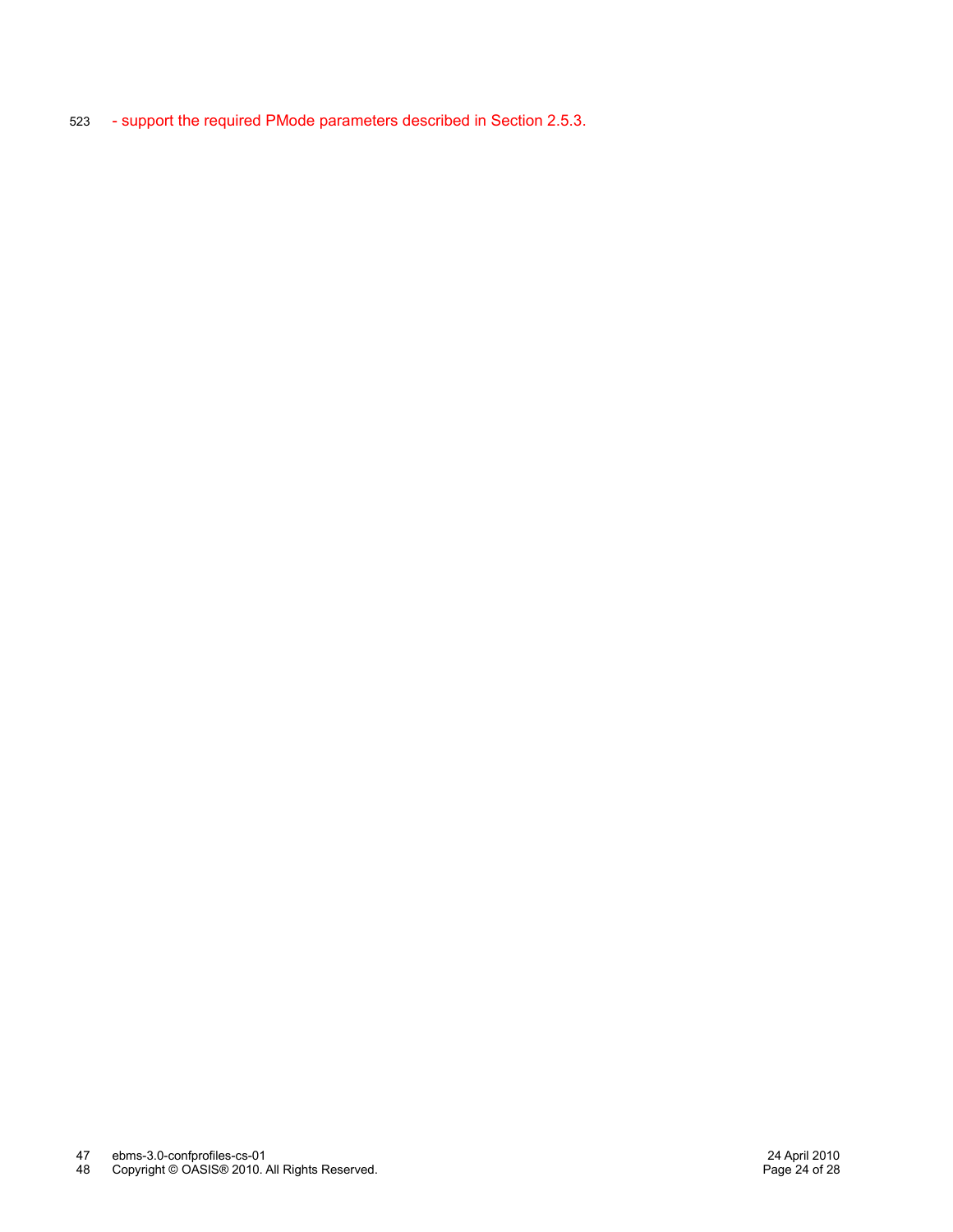- support the required PMode parameters described in Section 2.5.3. 523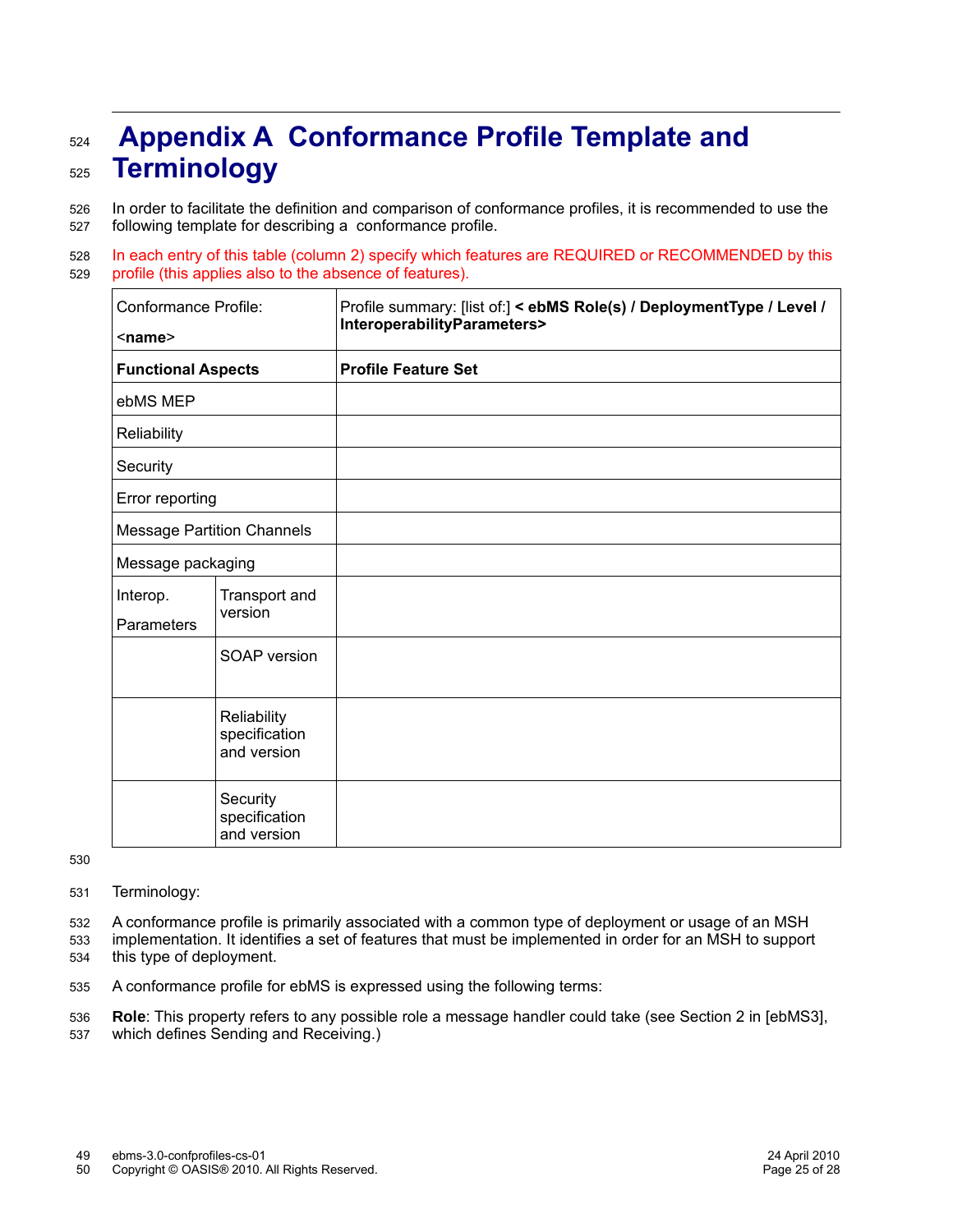# **Appendix A Conformance Profile Template and Terminology** 524 525

In order to facilitate the definition and comparison of conformance profiles, it is recommended to use the following template for describing a conformance profile. 526 527

In each entry of this table (column 2) specify which features are REQUIRED or RECOMMENDED by this profile (this applies also to the absence of features). 528 529

| <b>Conformance Profile:</b><br>$<$ name $>$ |                                             | Profile summary: [list of:] < ebMS Role(s) / DeploymentType / Level /<br>InteroperabilityParameters> |
|---------------------------------------------|---------------------------------------------|------------------------------------------------------------------------------------------------------|
| <b>Functional Aspects</b>                   |                                             | <b>Profile Feature Set</b>                                                                           |
| ebMS MEP                                    |                                             |                                                                                                      |
| Reliability                                 |                                             |                                                                                                      |
| Security                                    |                                             |                                                                                                      |
| Error reporting                             |                                             |                                                                                                      |
| <b>Message Partition Channels</b>           |                                             |                                                                                                      |
| Message packaging                           |                                             |                                                                                                      |
| Interop.<br><b>Parameters</b>               | Transport and<br>version                    |                                                                                                      |
|                                             | SOAP version                                |                                                                                                      |
|                                             | Reliability<br>specification<br>and version |                                                                                                      |
|                                             | Security<br>specification<br>and version    |                                                                                                      |

530

Terminology: 531

A conformance profile is primarily associated with a common type of deployment or usage of an MSH 532

implementation. It identifies a set of features that must be implemented in order for an MSH to support this type of deployment. 533 534

A conformance profile for ebMS is expressed using the following terms: 535

**Role**: This property refers to any possible role a message handler could take (see Section 2 in [ebMS3], 536

which defines Sending and Receiving.) 537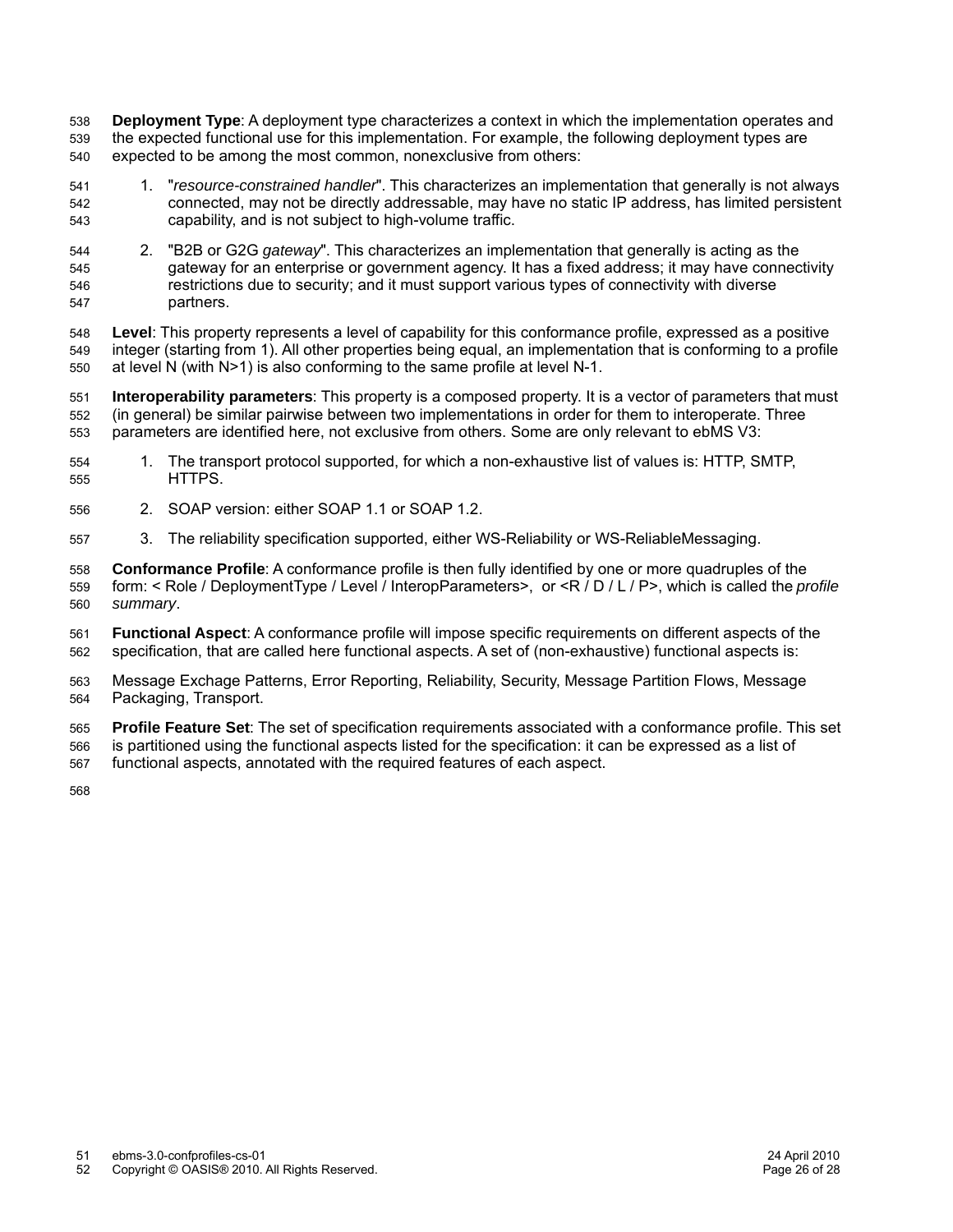**Deployment Type**: A deployment type characterizes a context in which the implementation operates and the expected functional use for this implementation. For example, the following deployment types are expected to be among the most common, nonexclusive from others: 538 539 540

- 1. "*resource-constrained handler*". This characterizes an implementation that generally is not always connected, may not be directly addressable, may have no static IP address, has limited persistent capability, and is not subject to high-volume traffic. 541 542 543
- 2. "B2B or G2G *gateway*". This characterizes an implementation that generally is acting as the gateway for an enterprise or government agency. It has a fixed address; it may have connectivity restrictions due to security; and it must support various types of connectivity with diverse partners. 544 545 546 547

**Level**: This property represents a level of capability for this conformance profile, expressed as a positive integer (starting from 1). All other properties being equal, an implementation that is conforming to a profile at level N (with N>1) is also conforming to the same profile at level N-1. 548 549 550

**Interoperability parameters**: This property is a composed property. It is a vector of parameters that must (in general) be similar pairwise between two implementations in order for them to interoperate. Three parameters are identified here, not exclusive from others. Some are only relevant to ebMS V3: 551 552 553

- 1. The transport protocol supported, for which a non-exhaustive list of values is: HTTP, SMTP, HTTPS. 554 555
- 2. SOAP version: either SOAP 1.1 or SOAP 1.2. 556
- 3. The reliability specification supported, either WS-Reliability or WS-ReliableMessaging. 557

**Conformance Profile**: A conformance profile is then fully identified by one or more quadruples of the form: < Role / DeploymentType / Level / InteropParameters>, or <R / D / L / P>, which is called the *profile summary*. 558 559 560

**Functional Aspect**: A conformance profile will impose specific requirements on different aspects of the specification, that are called here functional aspects. A set of (non-exhaustive) functional aspects is: 561 562

Message Exchage Patterns, Error Reporting, Reliability, Security, Message Partition Flows, Message Packaging, Transport. 563 564

**Profile Feature Set**: The set of specification requirements associated with a conformance profile. This set is partitioned using the functional aspects listed for the specification: it can be expressed as a list of functional aspects, annotated with the required features of each aspect. 565 566 567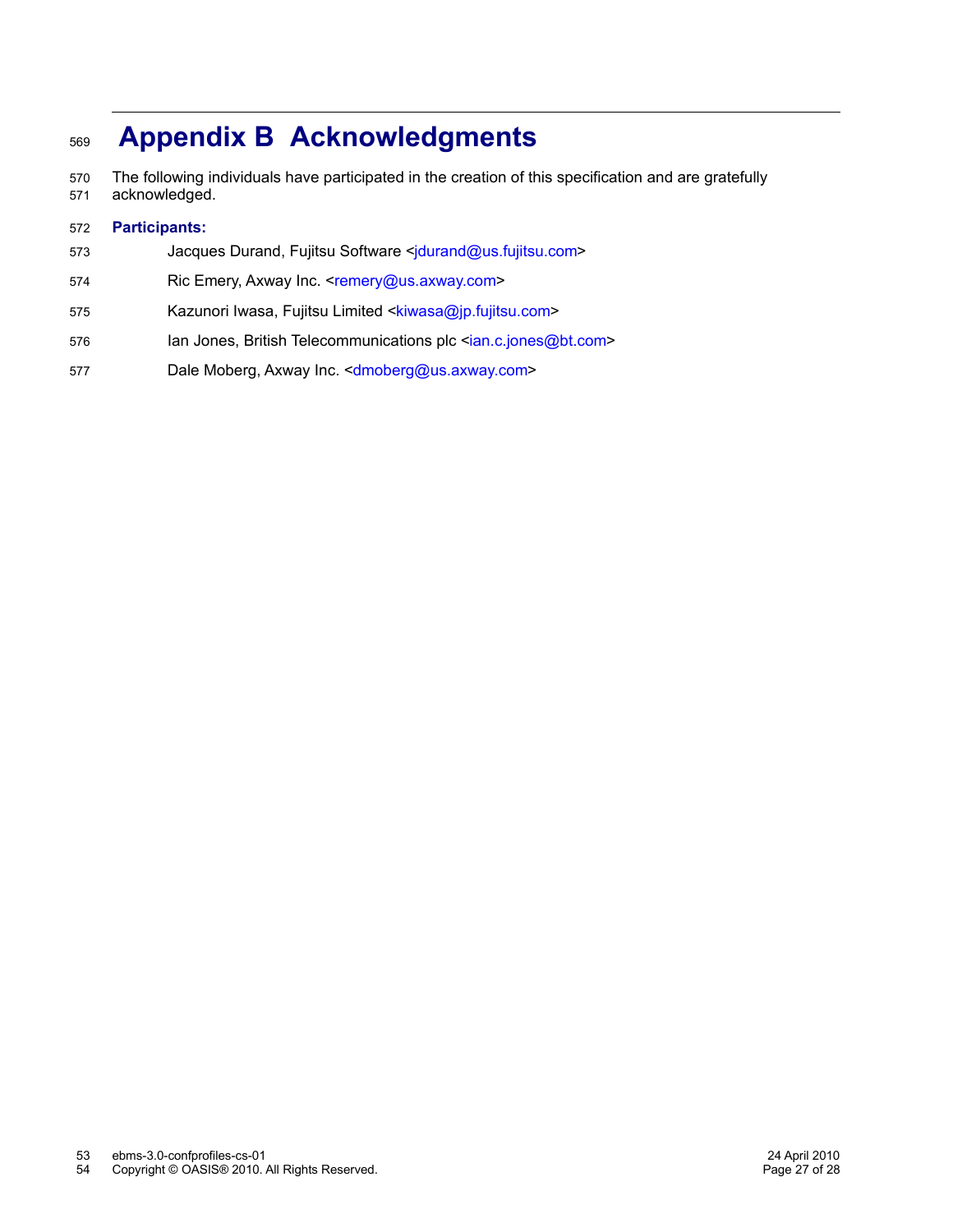# **Appendix B Acknowledgments** 569

The following individuals have participated in the creation of this specification and are gratefully acknowledged. 570 571

#### **Participants:** 572

- Jacques Durand, Fujitsu Software [<jdurand@us.fujitsu.com>](mailto:jdurand@us.fujitsu.com) 573
- Ric Emery, Axway Inc. [<remery@us.axway.com>](mailto:remery@us.axway.com) 574
- Kazunori Iwasa, Fujitsu Limited [<kiwasa@jp.fujitsu.com>](mailto:kiwasa@jp.fujitsu.com) 575
- Ian Jones, British Telecommunications plc [<ian.c.jones@bt.com>](mailto:ian.c.jones@bt.com) 576
- Dale Moberg, Axway Inc. < dmoberg@us.axway.com> 577